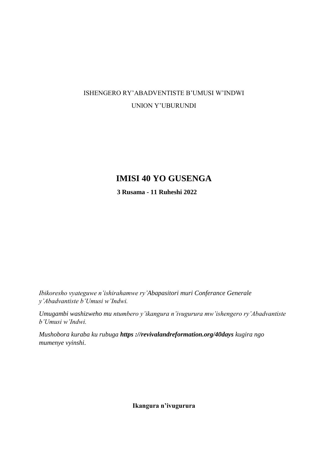# ISHENGERO RY'ABADVENTISTE B'UMUSI W'INDWI UNION Y'UBURUNDI

# **IMISI 40 YO GUSENGA**

**3 Rusama - 11 Ruheshi 2022**

*Ibikoresho vyateguwe n'ishirahamwe ry'Abapasitori muri Conferance Generale y'Abadvantiste b'Umusi w'Indwi.*

*Umugambi washizweho mu ntumbero y'ikangura n'ivugurura mw'ishengero ry'Abadvantiste b'Umusi w'Indwi.*

*Mushobora kuraba ku rubuga https ://revivalandreformation.org/40days kugira ngo mumenye vyinshi*.

**Ikangura n'ivugurura**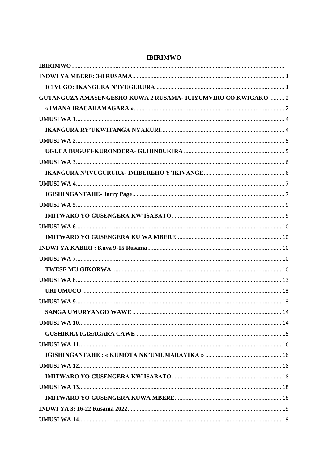| GUTANGUZA AMASENGESHO KUWA 2 RUSAMA- ICIYUMVIRO CO KWIGAKO  2 |  |
|---------------------------------------------------------------|--|
|                                                               |  |
|                                                               |  |
|                                                               |  |
|                                                               |  |
|                                                               |  |
|                                                               |  |
|                                                               |  |
|                                                               |  |
|                                                               |  |
|                                                               |  |
|                                                               |  |
|                                                               |  |
|                                                               |  |
|                                                               |  |
|                                                               |  |
|                                                               |  |
|                                                               |  |
|                                                               |  |
|                                                               |  |
|                                                               |  |
|                                                               |  |
|                                                               |  |
|                                                               |  |
|                                                               |  |
|                                                               |  |
|                                                               |  |
|                                                               |  |
|                                                               |  |
|                                                               |  |
|                                                               |  |

### <span id="page-1-0"></span>**IBIRIMWO**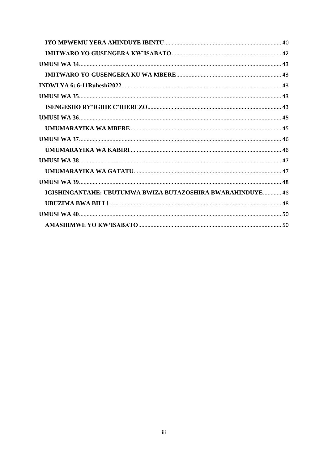| IGISHINGANTAHE: UBUTUMWA BWIZA BUTAZOSHIRA BWARAHINDUYE 48 |  |
|------------------------------------------------------------|--|
|                                                            |  |
|                                                            |  |
|                                                            |  |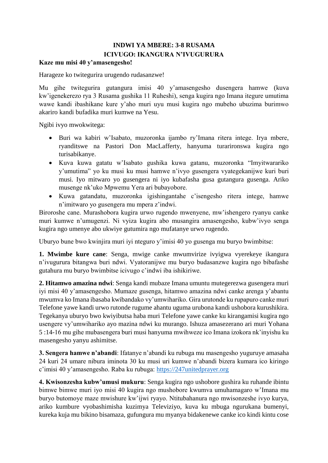# **INDWI YA MBERE: 3-8 RUSAMA ICIVUGO: IKANGURA N'IVUGURURA**

#### <span id="page-4-1"></span><span id="page-4-0"></span>**Kaze mu misi 40 y'amasengesho!**

Harageze ko twitegurira urugendo rudasanzwe!

Mu gihe twitegurira gutangura imisi 40 y'amasengesho dusengera hamwe (kuva kw'igenekerezo rya 3 Rusama gushika 11 Ruheshi), senga kugira ngo Imana itegure umutima wawe kandi ibashikane kure y'aho muri uyu musi kugira ngo mubeho ubuzima burimwo akariro kandi bufadika muri kumwe na Yesu.

Ngibi ivyo mwokwitega:

- Buri wa kabiri w'Isabato, muzoronka ijambo ry'Imana ritera intege. Irya mbere, ryanditswe na Pastori Don MacLafferty, hanyuma turarironswa kugira ngo turisabikanye.
- Kuva kuwa gatatu w'Isabato gushika kuwa gatanu, muzoronka "Imyitwarariko y'umutima" yo ku musi ku musi hamwe n'ivyo gusengera vyategekanijwe kuri buri musi. Iyo mitwaro yo gusengera ni iyo kubafasha gusa gutangura gusenga. Ariko musenge nk'uko Mpwemu Yera ari bubayobore.
- Kuwa gatandatu, muzoronka igishingantahe c'isengesho ritera intege, hamwe n'imitwaro yo gusengera mu mpera z'indwi.

Biroroshe cane. Murashobora kugira urwo rugendo mwenyene, mw'ishengero ryanyu canke muri kumwe n'umugenzi. Ni vyiza kugira abo musangira amasengesho, kubw'ivyo senga kugira ngo umenye abo ukwiye gutumira ngo mufatanye urwo rugendo.

Uburyo bune bwo kwinjira muri iyi nteguro y'imisi 40 yo gusenga mu buryo bwimbitse:

**1. Mwimbe kure cane**: Senga, mwige canke mwumvirize ivyigwa vyerekeye ikangura n'ivugurura bitangwa buri ndwi. Vyatoranijwe mu buryo budasanzwe kugira ngo bibafashe gutahura mu buryo bwimbitse icivugo c'indwi iba ishikiriwe.

**2. Hitamwo amazina ndwi**: Senga kandi mubaze Imana umuntu mutegerezwa gusengera muri iyi misi 40 y'amasengesho. Mumaze gusenga, hitamwo amazina ndwi canke arenga y'abantu mwumva ko Imana ibasaba kwibandako vy'umwihariko. Gira urutonde ku rupapuro canke muri Telefone yawe kandi urwo rutonde rugume ahantu uguma urubona kandi ushobora kurushikira. Tegekanya uburyo bwo kwiyibutsa haba muri Telefone yawe canke ku kirangamisi kugira ngo usengere vy'umwihariko ayo mazina ndwi ku murango. Ishuza amasezerano ari muri Yohana 5 :14-16 mu gihe mubasengera buri musi hanyuma mwihweze ico Imana izokora nk'inyishu ku masengesho yanyu ashimitse.

**3. Sengera hamwe n'abandi**: Ifatanye n'abandi ku rubuga mu masengesho yuguruye amasaha 24 kuri 24 umare nibura iminota 30 ku musi uri kumwe n'abandi bizera kumara ico kiringo c'imisi 40 y'amasengesho. Raba ku rubuga: [https://247unitedprayer.org](https://247unitedprayer.org/)

**4. Kwisonzesha kubw'umusi mukuru**: Senga kugira ngo ushobore gushira ku ruhande ibintu bimwe bimwe muri iyo misi 40 kugira ngo mushobore kwumva umuhamagaro w'Imana mu buryo butomoye maze mwishure kw'ijwi ryayo. Ntitubahanura ngo mwisonzeshe ivyo kurya, ariko kumbure vyobashimisha kuzimya Televiziyo, kuva ku mbuga ngurukana bumenyi, kureka kuja mu bikino bisamaza, gufungura mu myanya bidakenewe canke ico kindi kintu cose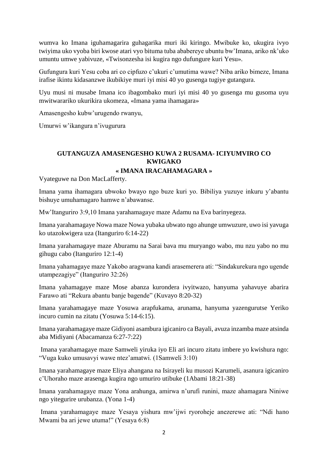wumva ko Imana iguhamagarira guhagarika muri iki kiringo. Mwibuke ko, ukugira ivyo twiyima uko vyoba biri kwose atari vyo bituma tuba ababereye ubuntu bw'Imana, ariko nk'uko umuntu umwe yabivuze, «Twisonzesha isi kugira ngo dufungure kuri Yesu».

Gufungura kuri Yesu coba ari co cipfuzo c'ukuri c'umutima wawe? Niba ariko bimeze, Imana irafise ikintu kidasanzwe ikubikiye muri iyi misi 40 yo gusenga tugiye gutangura.

Uyu musi ni musabe Imana ico ibagombako muri iyi misi 40 yo gusenga mu gusoma uyu mwitwarariko ukurikira ukomeza, «Imana yama ihamagara»

Amasengesho kubw'urugendo rwanyu,

Umurwi w'ikangura n'ivugurura

## <span id="page-5-0"></span>**GUTANGUZA AMASENGESHO KUWA 2 RUSAMA- ICIYUMVIRO CO KWIGAKO**

#### **« IMANA IRACAHAMAGARA »**

<span id="page-5-1"></span>Vyateguwe na Don MacLafferty.

Imana yama ihamagara ubwoko bwayo ngo buze kuri yo. Bibiliya yuzuye inkuru y'abantu bishuye umuhamagaro hamwe n'abawanse.

Mw'Itanguriro 3:9,10 Imana yarahamagaye maze Adamu na Eva barinyegeza.

Imana yarahamagaye Nowa maze Nowa yubaka ubwato ngo ahunge umwuzure, uwo isi yavuga ko utazokwigera uza (Itanguriro 6:14-22)

Imana yarahamagaye maze Aburamu na Sarai bava mu muryango wabo, mu nzu yabo no mu gihugu cabo (Itanguriro 12:1-4)

Imana yahamagaye maze Yakobo aragwana kandi arasemerera ati: "Sindakurekura ngo ugende utampezagiye" (Itanguriro 32:26)

Imana yahamagaye maze Mose abanza kurondera ivyitwazo, hanyuma yahavuye abarira Farawo ati "Rekura abantu banje bagende" (Kuvayo 8:20-32)

Imana yarahamagaye maze Yosuwa arapfukama, arunama, hanyuma yazengurutse Yeriko incuro cumin na zitatu (Yosuwa 5:14-6:15).

Imana yarahamagaye maze Gidiyoni asambura igicaniro ca Bayali, avuza inzamba maze atsinda aba Midiyani (Abacamanza 6:27-7:22)

Imana yarahamagaye maze Samweli yiruka iyo Eli ari incuro zitatu imbere yo kwishura ngo: "Vuga kuko umusavyi wawe ntez'amatwi. (1Samweli 3:10)

Imana yarahamagaye maze Eliya ahangana na Isirayeli ku musozi Karumeli, asanura igicaniro c'Uhoraho maze arasenga kugira ngo umuriro utibuke (1Abami 18:21-38)

Imana yarahamagaye maze Yona arahunga, amirwa n'urufi runini, maze ahamagara Niniwe ngo yitegurire urubanza. (Yona 1-4)

Imana yarahamagaye maze Yesaya yishura mw'ijwi ryoroheje anezerewe ati: "Ndi hano Mwami ba ari jewe utuma!" (Yesaya 6:8)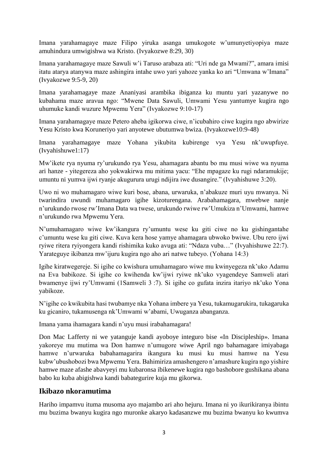Imana yarahamagaye maze Filipo yiruka asanga umukogote w'umunyetiyopiya maze amuhindura umwigishwa wa Kristo. (Ivyakozwe 8:29, 30)

Imana yarahamagaye maze Sawuli w'i Taruso arabaza ati: "Uri nde ga Mwami?", amara imisi itatu atarya atanywa maze ashingira intahe uwo yari yahoze yanka ko ari "Umwana w'Imana" (Ivyakozwe 9:5-9, 20)

Imana yarahamagaye maze Ananiyasi arambika ibiganza ku muntu yari yazanywe no kubahama maze aravua ngo: "Mwene Data Sawuli, Umwami Yesu yantumye kugira ngo uhumuke kandi wuzure Mpwemu Yera" (Ivyakozwe 9:10-17)

Imana yarahamagaye maze Petero aheba igikorwa ciwe, n'icubahiro ciwe kugira ngo abwirize Yesu Kristo kwa Koruneriyo yari anyotewe ubutumwa bwiza. (Ivyakozwe10:9-48)

Imana yarahamagaye maze Yohana yikubita kubirenge vya Yesu nk'uwupfuye. (Ivyahishuwe1:17)

Mw'ikete rya nyuma ry'urukundo rya Yesu, ahamagara abantu bo mu musi wiwe wa nyuma ari hanze - yitegereza aho yokwakirwa mu mitima yacu: "Ehe mpagaze ku rugi ndaramukije; umuntu ni yumva ijwi ryanje akugurura urugi ndijira iwe dusangire." (Ivyahishuwe 3:20).

Uwo ni wo muhamagaro wiwe kuri bose, abana, urwaruka, n'abakuze muri uyu mwanya. Ni twarindira uwundi muhamagaro igihe kizoturengana. Arabahamagara, mwebwe nanje n'urukundo rwose rw'Imana Data wa twese, urukundo rwiwe rw'Umukiza n'Umwami, hamwe n'urukundo rwa Mpwemu Yera.

N'umuhamagaro wiwe kw'ikangura ry'umuntu wese ku giti ciwe no ku gishingantahe c'umuntu wese ku giti ciwe. Kuva kera hose yamye ahamagara ubwoko bwiwe. Ubu rero ijwi ryiwe ritera ryiyongera kandi rishimika kuko avuga ati: "Ndaza vuba…" (Ivyahishuwe 22:7). Yarateguye ikibanza mw'ijuru kugira ngo aho ari natwe tubeyo. (Yohana 14:3)

Igihe kiratwegereje. Si igihe co kwishura umuhamagaro wiwe mu kwinyegeza nk'uko Adamu na Eva babikoze. Si igihe co kwihenda kw'ijwi ryiwe nk'uko vyagendeye Samweli atari bwamenye ijwi ry'Umwami (1Samweli 3 :7). Si igihe co gufata inzira itariyo nk'uko Yona yabikoze.

N'igihe co kwikubita hasi twubamye nka Yohana imbere ya Yesu, tukamugarukira, tukagaruka ku gicaniro, tukamusenga nk'Umwami w'abami, Uwuganza abanganza.

Imana yama ihamagara kandi n'uyu musi irabahamagara!

Don Mac Lafferty ni we yatanguje kandi ayoboye integuro bise «In Discipleship». Imana yakoreye mu mutima wa Don hamwe n'umugore wiwe April ngo bahamagare imiyabaga hamwe n'urwaruka babahamagarira ikangura ku musi ku musi hamwe na Yesu kubw'ubushobozi bwa Mpwemu Yera. Bahimiriza amashengero n'amashure kugira ngo yishire hamwe maze afashe abavyeyi mu kubaronsa ibikenewe kugira ngo bashobore gushikana abana babo ku kuba abigishwa kandi babategurire kuja mu gikorwa.

# **Ikibazo nkoramutima**

Hariho impamvu ituma musoma ayo majambo ari aho hejuru. Imana ni yo ikurikiranya ibintu mu buzima bwanyu kugira ngo muronke akaryo kadasanzwe mu buzima bwanyu ko kwumva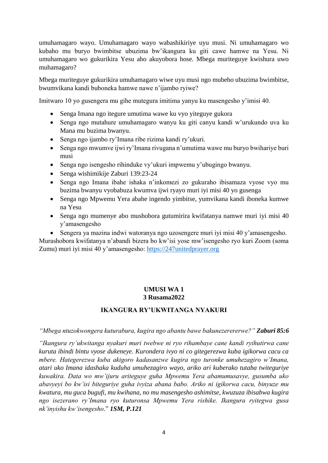umuhamagaro wayo. Umuhamagaro wayo wabashikiriye uyu musi. Ni umuhamagaro wo kubaho mu buryo bwimbitse ubuzima bw'ikangura ku giti cawe hamwe na Yesu. Ni umuhamagaro wo gukurikira Yesu aho akuyobora hose. Mbega muriteguye kwishura uwo muhamagaro?

Mbega muriteguye gukurikira umuhamagaro wiwe uyu musi ngo mubeho ubuzima bwimbitse, bwumvikana kandi buboneka hamwe nawe n'ijambo ryiwe?

Imitwaro 10 yo gusengera mu gihe mutegura imitima yanyu ku masengesho y'imisi 40.

- Senga Imana ngo itegure umutima wawe ku vyo yiteguye gukora
- Senga ngo mutahure umuhamagaro wanyu ku giti canyu kandi w'urukundo uva ku Mana mu buzima bwanyu.
- Senga ngo ijambo ry'Imana ribe rizima kandi ry'ukuri.
- Senga ngo mwumve ijwi ry'Imana rivugana n'umutima wawe mu buryo bwihariye buri musi
- Senga ngo isengesho rihinduke vy'ukuri impwemu y'ubugingo bwanyu.
- Senga wishimikije Zaburi 139:23-24
- Senga ngo Imana ibahe ishaka n'inkomezi zo gukuraho ibisamaza vyose vyo mu buzima bwanyu vyobabuza kwumva ijwi ryayo muri iyi misi 40 yo gusenga
- Senga ngo Mpwemu Yera abahe ingendo yimbitse, yumvikana kandi iboneka kumwe na Yesu
- Senga ngo mumenye abo mushobora gutumirira kwifatanya namwe muri iyi misi 40 y'amasengesho
- Sengera ya mazina indwi watoranya ngo uzosengere muri iyi misi 40 y'amasengesho.

Murashobora kwifatanya n'abandi bizera bo kw'isi yose mw'isengesho ryo kuri Zoom (soma Zumu) muri iyi misi 40 y'amasengesho: [https://247unitedprayer.org](https://247unitedprayer.org/)

#### **UMUSI WA 1 3 Rusama2022**

#### **IKANGURA RY'UKWITANGA NYAKURI**

<span id="page-7-1"></span><span id="page-7-0"></span>*"Mbega ntuzokwongera kuturabura, kugira ngo abantu bawe bakunezerererwe?" Zaburi 85:6*

*"Ikangura ry'ukwitanga nyakuri muri twebwe ni ryo rihambaye cane kandi ryihutirwa cane kuruta ibindi bintu vyose dukeneye. Kurondera ivyo ni co gitegerezwa kuba igikorwa cacu ca mbere. Hategerezwa kuba akigoro kadasanzwe kugira ngo turonke umuhezagiro w'Imana, atari uko Imana idashaka kuduha umuhezagiro wayo, ariko ari kuberako tutaba twiteguriye kuwakira. Data wo mw'ijuru ariteguye guha Mpwemu Yera abamumusavye, gusumba uko abavyeyi bo kw'isi biteguriye guha ivyiza abana babo. Ariko ni igikorwa cacu, binyuze mu kwatura, mu guca bugufi, mu kwihana, no mu masengesho ashimitse, kwuzuza ibisabwa kugira ngo isezerano ry'Imana ryo kuturonsa Mpwemu Yera rishike. Ikangura ryitegwa gusa nk'inyishu kw'isengesho*." *1SM, P.121*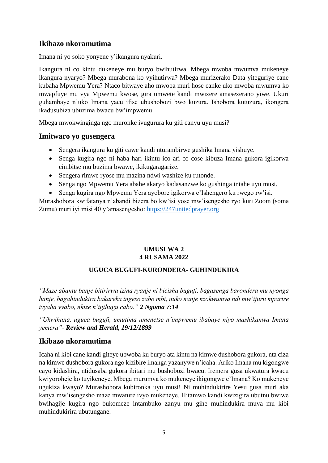# **Ikibazo nkoramutima**

Imana ni yo soko yonyene y'ikangura nyakuri.

Ikangura ni co kintu dukeneye mu buryo bwihutirwa. Mbega mwoba mwumva mukeneye ikangura nyaryo? Mbega murabona ko vyihutirwa? Mbega murizerako Data yiteguriye cane kubaha Mpwemu Yera? Ntaco bitwaye aho mwoba muri hose canke uko mwoba mwumva ko mwapfuye mu vya Mpwemu kwose, gira umwete kandi mwizere amasezerano yiwe. Ukuri guhambaye n'uko Imana yacu ifise ubushobozi bwo kuzura. Ishobora kutuzura, ikongera ikadusubiza ubuzima bwacu bw'impwemu.

Mbega mwokwinginga ngo muronke ivugurura ku giti canyu uyu musi?

### **Imitwaro yo gusengera**

- Sengera ikangura ku giti cawe kandi nturambirwe gushika Imana yishuye.
- Senga kugira ngo ni haba hari ikintu ico ari co cose kibuza Imana gukora igikorwa cimbitse mu buzima bwawe, ikikugaragarize.
- Sengera rimwe ryose mu mazina ndwi washize ku rutonde.
- Senga ngo Mpwemu Yera abahe akaryo kadasanzwe ko gushinga intahe uyu musi.
- Senga kugira ngo Mpwemu Yera ayobore igikorwa c'Ishengero ku rwego rw'isi.

Murashobora kwifatanya n'abandi bizera bo kw'isi yose mw'isengesho ryo kuri Zoom (soma Zumu) muri iyi misi 40 y'amasengesho: [https://247unitedprayer.org](https://247unitedprayer.org/)

### **UMUSI WA 2 4 RUSAMA 2022**

### **UGUCA BUGUFI-KURONDERA- GUHINDUKIRA**

<span id="page-8-1"></span><span id="page-8-0"></span>*"Maze abantu banje bitirirwa izina ryanje ni bicisha bugufi, bagasenga barondera mu nyonga hanje, bagahindukira bakareka ingeso zabo mbi, nuko nanje nzokwumva ndi mw'ijuru mparire ivyaha vyabo, nkize n'igihugu cabo." 2 Ngoma 7:14*

*"Ukwihana, uguca bugufi, umutima umenetse n'impwemu ibabaye niyo mashikanwa Imana yemera"- Review and Herald, 19/12/1899*

# **Ikibazo nkoramutima**

Icaha ni kibi cane kandi giteye ubwoba ku buryo ata kintu na kimwe dushobora gukora, nta ciza na kimwe dushobora gukora ngo kizibire imanga yazanywe n'icaha. Ariko Imana mu kigongwe cayo kidashira, ntidusaba gukora ibitari mu bushobozi bwacu. Iremera gusa ukwatura kwacu kwiyoroheje ko tuyikeneye. Mbega murumva ko mukeneye ikigongwe c'Imana? Ko mukeneye ugukiza kwayo? Murashobora kubironka uyu musi! Ni muhindukirire Yesu gusa muri aka kanya mw'isengesho maze mwature ivyo mukeneye. Hitamwo kandi kwizigira ubutnu bwiwe bwihagije kugira ngo bukomeze intambuko zanyu mu gihe muhindukira muva mu kibi muhindukirira ubutungane.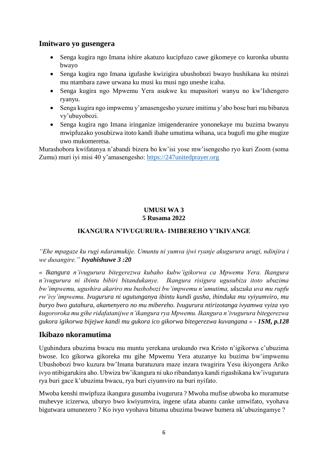### **Imitwaro yo gusengera**

- Senga kugira ngo Imana ishire akatuzo kucipfuzo cawe gikomeye co kuronka ubuntu bwayo
- Senga kugira ngo Imana igufashe kwizigira ubushobozi bwayo bushikana ku ntsinzi mu ntambara zawe urwana ku musi ku musi ngo uneshe icaha.
- Senga kugira ngo Mpwemu Yera asukwe ku mupasitori wanyu no kw'Ishengero ryanyu.
- Senga kugira ngo impwemu y'amasengesho yuzure imitima y'abo bose bari mu bibanza vy'ubuyobozi.
- Senga kugira ngo Imana iringanize imigenderanire yononekaye mu buzima bwanyu mwipfuzako yosubizwa itoto kandi ibahe umutima wihana, uca bugufi mu gihe mugize uwo mukomeretsa.

Murashobora kwifatanya n'abandi bizera bo kw'isi yose mw'isengesho ryo kuri Zoom (soma Zumu) muri iyi misi 40 y'amasengesho: [https://247unitedprayer.org](https://247unitedprayer.org/)

### **UMUSI WA 3 5 Rusama 2022**

### **IKANGURA N'IVUGURURA- IMIBEREHO Y'IKIVANGE**

<span id="page-9-1"></span><span id="page-9-0"></span>*"Ehe mpagaze ku rugi ndaramukije. Umuntu ni yumva ijwi ryanje akugurura urugi, ndinjira i we dusangire." Ivyahishuwe 3 :20*

*« Ikangura n'ivugurura bitegerezwa kubaho kubw'igikorwa ca Mpwemu Yera. Ikangura n'ivugurura ni ibintu bibiri bitandukanye. Ikangura risigura ugusubiza itoto ubuzima bw'impwemu, ugushira akariro mu bushobozi bw'impwemu n'umutima, ukuzuka uva mu rupfu rw'ivy'impwemu. Ivugurura ni ugutunganya ibintu kundi gusha, ihinduka mu vyiyumviro, mu buryo bwo gutahura, akamenyero no mu mibereho. Ivugurura ntirizotanga ivyamwa vyiza vyo kugororoka mu gihe ridafatanijwe n'ikangura rya Mpwemu. Ikangura n'ivugurura bitegerezwa gukora igikorwa bijejwe kandi mu gukora ico gikorwa bitegerezwa kuvangana » - 1SM, p.128*

### **Ikibazo nkoramutima**

Uguhindura ubuzima bwacu mu muntu yerekana urukundo rwa Kristo n'igikorwa c'ubuzima bwose. Ico gikorwa gikoreka mu gihe Mpwemu Yera atuzanye ku buzima bw'impwemu Ubushobozi bwo kuzura bw'Imana buratuzura maze inzara twagirira Yesu ikiyongera Ariko ivyo ntibigarukira aho. Ubwiza bw'ikangura ni uko ribandanya kandi rigashikana kw'ivugurura rya buri gace k'ubuzima bwacu, rya buri ciyumviro na buri nyifato.

Mwoba kenshi mwipfuza ikangura gusumba ivugurura ? Mwoba mufise ubwoba ko muramutse muhevye icizerwa, uburyo bwo kwiyumvira, ingene ufata abantu canke umwifato, vyohava bigutwara umunezero ? Ko ivyo vyohava bituma ubuzima bwawe bumera nk'ubuzingamye ?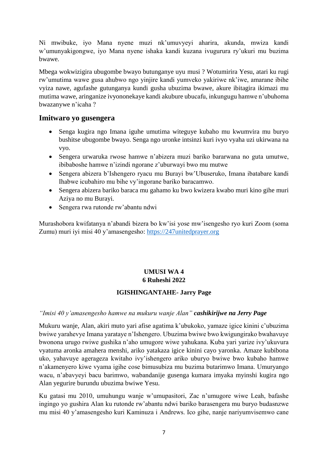Ni mwibuke, iyo Mana nyene muzi nk'umuvyeyi aharira, akunda, mwiza kandi w'umunyakigongwe, iyo Mana nyene ishaka kandi kuzana ivugurura ry'ukuri mu buzima bwawe.

Mbega wokwizigira ubugombe bwayo butunganye uyu musi ? Wotumirira Yesu, atari ku rugi rw'umutima wawe gusa ahubwo ngo yinjire kandi yumveko yakiriwe nk'iwe, amarane ibihe vyiza nawe, agufashe gutunganya kundi gusha ubuzima bwawe, akure ibitagira ikimazi mu mutima wawe, aringanize ivyononekaye kandi akubure ubucafu, inkungugu hamwe n'ubuhoma bwazanywe n'icaha ?

### **Imitwaro yo gusengera**

- Senga kugira ngo Imana iguhe umutima witeguye kubaho mu kwumvira mu buryo bushitse ubugombe bwayo. Senga ngo uronke intsinzi kuri ivyo vyaha uzi ukirwana na vyo.
- Sengera urwaruka rwose hamwe n'abizera muzi bariko bararwana no guta umutwe, ibibaboshe hamwe n'izindi ngorane z'uburwayi bwo mu mutwe
- Sengera abizera b'Ishengero ryacu mu Burayi bw'Ubuseruko, Imana ibatabare kandi Ihabwe icubahiro mu bihe vy'ingorane bariko baracamwo.
- Sengera abizera bariko baraca mu gahamo ku bwo kwizera kwabo muri kino gihe muri Aziya no mu Burayi.
- Sengera rwa rutonde rw'abantu ndwi

Murashobora kwifatanya n'abandi bizera bo kw'isi yose mw'isengesho ryo kuri Zoom (soma Zumu) muri iyi misi 40 y'amasengesho: [https://247unitedprayer.org](https://247unitedprayer.org/)

### **UMUSI WA 4 6 Ruheshi 2022**

### **IGISHINGANTAHE- Jarry Page**

#### <span id="page-10-1"></span><span id="page-10-0"></span>*"Imisi 40 y'amasengesho hamwe na mukuru wanje Alan" cashikirijwe na Jerry Page*

Mukuru wanje, Alan, akiri muto yari afise agatima k'ubukoko, yamaze igice kinini c'ubuzima bwiwe yarahevye Imana yarataye n'Ishengero. Ubuzima bwiwe bwo kwigungirako bwahavuye bwonona urugo rwiwe gushika n'aho umugore wiwe yahukana. Kuba yari yarize ivy'ukuvura vyatuma aronka amahera menshi, ariko yatakaza igice kinini cayo yaronka. Amaze kubibona uko, yahavuye agerageza kwitaho ivy'ishengero ariko uburyo bwiwe bwo kubaho hamwe n'akamenyero kiwe vyama igihe cose bimusubiza mu buzima butarimwo Imana. Umuryango wacu, n'abavyeyi bacu barimwo, wabandanije gusenga kumara imyaka myinshi kugira ngo Alan yegurire burundu ubuzima bwiwe Yesu.

Ku gatasi mu 2010, umuhungu wanje w'umupasitori, Zac n'umugore wiwe Leah, bafashe ingingo yo gushira Alan ku rutonde rw'abantu ndwi bariko barasengera mu buryo budasnzwe mu misi 40 y'amasengesho kuri Kaminuza i Andrews. Ico gihe, nanje nariyumvisemwo cane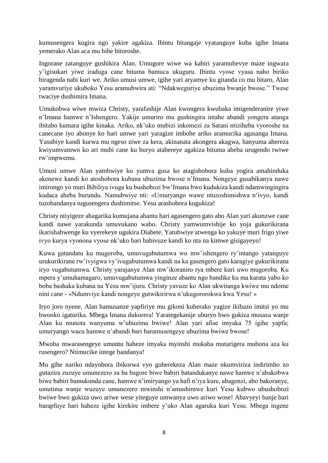kumusengera kugira ngo yakire agakiza. Ibintu bitangaje vyatanguye kuba igihe Imana yemerako Alan aca mu bihe bitoroshe.

Ingorane zatanguye gushikira Alan. Umugore wiwe wa kabiri yaramuhevye maze ingwara y'igisukari yiwe iraduga cane bituma bamuca ukuguru. Ibintu vyose vyasa naho biriko biragenda nabi kuri we. Ariko umusi umwe, igihe yari aryamye ku gitanda co mu bitaro, Alan yaramvuriye ukuboko Yesu aramubwira ati: "Ndakweguriye ubuzima bwanje bwose." Twese twaciye dushimira Imana.

Umukobwa wiwe mwiza Christy, yarafashije Alan kwongera kwubaka imigenderanire yiwe n'Imana hamwe n'Ishengero. Yakije umuriro mu gushingira intahe abandi yongera atanga ibitabo kumara igihe kinaka. Ariko, nk'uko mubizi inkomezi za Satani ntiziheba vyoroshe na canecane iyo abonye ko hari umwe yari yaragize imbohe ariko aramucika agasanga Imana. Yasubiye kandi kurwa mu ngeso ziwe za kera, akinanata akongera akagwa, hanyuma ahereza kwiyumvamwo ko ari mubi cane ku buryo atabereye agakiza bituma aheba urugendo rwiwe rw'impwemu.

Umusi umwe Alan yambwiye ko yumva gusa ko atagishobora kuba yogira amahinduka akenewe kandi ko atoshobora kubana ubuzima bwose n'Imana. Nongeye gusabikanya nawe imirongo yo muri Bibiliya ivuga ku bushobozi bw'Imana bwo kudukiza kandi ndamwingingira kudaca aheba burundu. Namubwiye nti: «Umuryango wawe ntuzoshimishwa n'ivyo, kandi tuzobandanya tugusengera dushimitse. Yesu arashobora kugukiza!

Christy ntiyigeze ahagarika kumujana ahantu hari agasengero gato aho Alan yari akunzwe cane kandi nawe yarakunda umuvukano wabo. Christy yamwumvishije ko yoja gukurikirana ikarishabwenge ku vyerekeye ugukira Diabete. Yatubwiye atwenga ko yakuye muri frigo yiwe ivyo kurya vyonona vyose nk'uko bari babivuze kandi ko nta na kimwe gisigayeyo!

Kuwa gatandatu ku mugoroba, umuvugabutumwa wo mw'ishengero ry'intango yatanguye urukurikirane rw'ivyigwa vy'ivugabutumwa kandi na ka gasengero gato karagiye gukurikirana iryo vugabutumwa. Christy yarajanye Alan mw'ikoraniro rya mbere kuri uwo mugoroba. Ku mpera y'umuhamagaro, umuvugabutumwa yinginze abantu ngo bandike ku ma karata yabo ko boba bashaka kubana na Yesu mw'ijuru. Christy yavuze ko Alan ukwitanga kwiwe mu ndome nini cane - «Ndumviye kandi nongeye gutwikirirwa n'ukugororokwa kwa Yesu! »

Iryo joro nyene, Alan bamusanze yapfiriye mu gikoni kuberako yagize ikibazo imitsi yo mu bwonko igaturika. Mbega Imana dukorera! Yarategekanije uburyo bwo gukiza musaza wanje Alan ku munota wanyuma w'ubuzima bwiwe! Alan yari afise imyaka 75 igihe yapfa; umuryango wacu hamwe n'abandi bari baramusengeye ubuzima bwiwe bwose!

Mwoba mwarasengeye umuntu haheze imyaka myinshi mukaba mutarigera mubona aza ku rusengero? Ntimucike intege bandanya!

Mu gihe nariko ndayobora ibikorwa vyo guherekeza Alan maze nkumviriza indirimbo zo gutazira zuzuye umunezero za ba bagore biwe babiri batandukanye nawe hamwe n'abakobwa biwe babiri bamukunda cane, hamwe n'imiryango ya hafi n'iya kure, abagenzi, abo bakoranye, umutima wanje wuzuye umunezero mwinshi n'amashimwe kuri Yesu kubwo ubushobozi bwiwe bwo gukiza uwo ariwe wese yiteguye umwanya uwo ariwo wose! Abavyeyi banje bari barapfuye hari haheze igihe kirekire imbere y'uko Alan agaruka kuri Yesu. Mbega ingene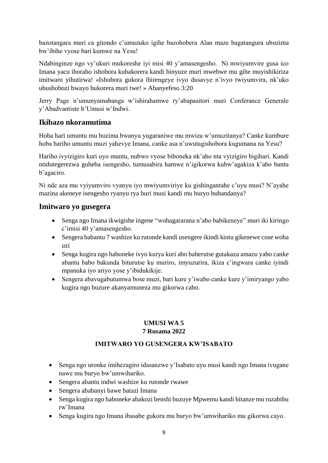bazotangara muri ca gitondo c'umuzuko igihe bazohobera Alan maze bagatangura ubuzima bw'ibihe vyose bari kumwe na Yesu!

Ndabinginze ngo vy'ukuri mukoreshe iyi misi 40 y'amasengesho. Ni mwiyumvire gusa ico Imana yacu ihoraho ishobora kubakorera kandi binyuze muri mwebwe mu gihe muyishikiriza imitwaro yihutirwa! «Ishobora gukora ibirengeye ivyo dusavye n'ivyo twiyumvira, nk'uko ubushobozi bwayo bukorera muri twe! » Abanyefeso 3:20

Jerry Page n'umunyamabanga w'ishirahamwe ry'abapasitori muri Conferance Generale y'Abadvantiste b'Umusi w'Indwi.

# **Ikibazo nkoramutima**

Hoba hari umuntu mu buzima bwanyu yugaraniwe mu mwiza w'umuzitanya? Canke kumbure hoba hariho umuntu muzi yahevye Imana, canke asa n'uwutagishobora kugumana na Yesu?

Hariho ivyizigiro kuri uyo muntu, nubwo vyose biboneka nk'aho nta vyizigiro bigihari. Kandi ntidutegerezwa guheba isengesho, tumusabira hamwe n'igikorwa kubw'agakiza k'abo bantu b'agaciro.

Ni nde aza mu vyiyumviro vyanyu iyo mwiyumviriye ku gishingantahe c'uyu musi? N'ayahe mazina akeneye isengesho ryanyu rya buri musi kandi mu buryo bubandanya?

# **Imitwaro yo gusegera**

- Senga ngo Imana ikwigishe ingene "wohagararana n'abo babikeneye" muri iki kiringo c'imisi 40 y'amasengesho.
- Sengera babantu 7 washize ku rutonde kandi usengere ikindi kintu gikenewe cose woba uzi
- Senga kugira ngo haboneke ivyo kurya kuri abo baherutse gutakaza amazu yabo canke abantu babo bakunda biturutse ku muriro, imyuzurira, ikiza c'ingwara canke iyindi mpanuka iyo ariyo yose y'ibidukikije.
- <span id="page-12-0"></span> Sengera abavugabutumwa bose muzi, bari kure y'iwabo canke kure y'imiryango yabo kugira ngo buzure akanyamuneza mu gikorwa cabo.

### **UMUSI WA 5 7 Rusama 2022**

# **IMITWARO YO GUSENGERA KW'ISABATO**

- <span id="page-12-1"></span> Senga ngo uronke imihezagiro idasanzwe y'Isabato uyu musi kandi ngo Imana ivugane nawe mu buryo bw'umwihariko.
- Sengera abantu indwi washize ku rutonde rwawe
- Sengera ababanyi bawe batazi Imana
- Senga kugira ngo haboneke abakozi benshi buzuye Mpwemu kandi bitanze mu ruzabibu rw'Imana
- Senga kugira ngo Imana ibasabe gukora mu buryo bw'umwihariko mu gikorwa cayo.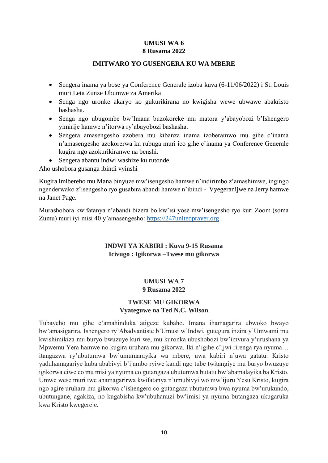#### **UMUSI WA 6 8 Rusama 2022**

#### **IMITWARO YO GUSENGERA KU WA MBERE**

- <span id="page-13-1"></span><span id="page-13-0"></span> Sengera inama ya bose ya Conference Generale izoba kuva (6-11/06/2022) i St. Louis muri Leta Zunze Ubumwe za Amerika
- Senga ngo uronke akaryo ko gukurikirana no kwigisha wewe ubwawe abakristo bashasha.
- Senga ngo ubugombe bw'Imana buzokoreke mu matora y'abayobozi b'Ishengero yimirije hamwe n'itorwa ry'abayobozi bashasha.
- Sengera amasengesho azobera mu kibanza inama izoberamwo mu gihe c'inama n'amasengesho azokorerwa ku rubuga muri ico gihe c'inama ya Conference Generale kugira ngo azokurikiranwe na benshi.
- Sengera abantu indwi washize ku rutonde.

Aho ushobora gusanga ibindi vyinshi

Kugira imibereho mu Mana binyuze mw'isengesho hamwe n'indirimbo z'amashimwe, ingingo ngenderwako z'isengesho ryo gusabira abandi hamwe n'ibindi - Vyegeranijwe na Jerry hamwe na Janet Page.

<span id="page-13-2"></span>Murashobora kwifatanya n'abandi bizera bo kw'isi yose mw'isengesho ryo kuri Zoom (soma Zumu) muri iyi misi 40 y'amasengesho: [https://247unitedprayer.org](https://247unitedprayer.org/)

#### **INDWI YA KABIRI : Kuva 9-15 Rusama Icivugo : Igikorwa –Twese mu gikorwa**

#### **UMUSI WA 7 9 Rusama 2022**

#### **TWESE MU GIKORWA Vyateguwe na Ted N.C. Wilson**

<span id="page-13-4"></span><span id="page-13-3"></span>Tubayeho mu gihe c'amahinduka atigeze kubaho. Imana ihamagarira ubwoko bwayo bw'amasigarira, Ishengero ry'Abadvantiste b'Umusi w'Indwi, gutegura inzira y'Umwami mu kwishimikiza mu buryo bwuzuye kuri we, mu kuronka ubushobozi bw'imvura y'urushana ya Mpwemu Yera hamwe no kugira uruhara mu gikorwa. Iki n'igihe c'ijwi rirenga rya nyuma… itangazwa ry'ubutumwa bw'umumarayika wa mbere, uwa kabiri n'uwa gatatu. Kristo yaduhamagariye kuba ababivyi b'ijambo ryiwe kandi ngo tube twitangiye mu buryo bwuzuye igikorwa ciwe co mu misi ya nyuma co gutangaza ubutumwa butatu bw'abamalayika ba Kristo. Umwe wese muri twe ahamagarirwa kwifatanya n'umubivyi wo mw'ijuru Yesu Kristo, kugira ngo agire uruhara mu gikorwa c'ishengero co gutangaza ubutumwa bwa nyuma bw'urukundo, ubutungane, agakiza, no kugabisha kw'ubuhanuzi bw'imisi ya nyuma butangaza ukugaruka kwa Kristo kwegereje.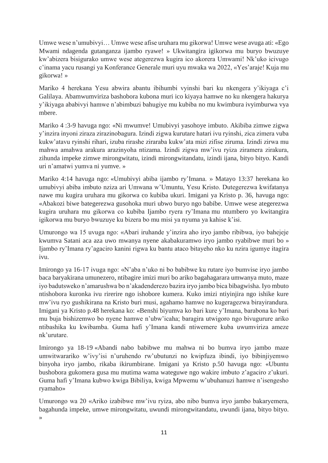Umwe wese n'umubivyi… Umwe wese afise uruhara mu gikorwa! Umwe wese avuga ati: «Ego Mwami ndagenda gutanganza ijambo ryawe! » Ukwitangira igikorwa mu buryo bwuzuye kw'abizera bisigurako umwe wese ategerezwa kugira ico akorera Umwami! Nk'uko icivugo c'inama yacu rusangi ya Konferance Generale muri uyu mwaka wa 2022, «Yes'araje! Kuja mu gikorwa! »

Mariko 4 herekana Yesu abwira abantu ibihumbi vyinshi bari ku nkengera y'ikiyaga c'i Galilaya. Abamwumviriza bashobora kubona muri ico kiyaya hamwe no ku nkengera hakurya y'ikiyaga ababivyi hamwe n'abimbuzi bahugiye mu kubiba no mu kwimbura ivyimburwa vya mbere.

Mariko 4 :3-9 havuga ngo: «Ni mwumve! Umubivyi yasohoye imbuto. Akibiba zimwe zigwa y'inzira inyoni ziraza zirazinobagura. Izindi zigwa kurutare hatari ivu ryinshi, zica zimera vuba kukw'atavu ryinshi rihari, izuba rirashe ziraraba kukw'ata mizi zifise ziruma. Izindi zirwa mu mahwa amahwa arakura arazinyoha ntizama. Izindi zigwa mw'ivu ryiza ziramera zirakura, zihunda impeke zimwe mirongwitatu, izindi mirongwitandatu, izindi ijana, bityo bityo. Kandi uri n'amatwi yumva ni yumve. »

Mariko 4:14 havuga ngo: «Umubivyi abiba ijambo ry'Imana. » Matayo 13:37 herekana ko umubivyi abiba imbuto nziza ari Umwana w'Umuntu, Yesu Kristo. Dutegerezwa kwifatanya nawe mu kugira uruhara mu gikorwa co kubiba ukuri. Imigani ya Kristo p. 36, havuga ngo: «Abakozi biwe bategerezwa gusohoka muri ubwo buryo ngo babibe. Umwe wese ategerezwa kugira uruhara mu gikorwa co kubiba Ijambo ryera ry'Imana mu ntumbero yo kwitangira igikorwa mu buryo bwuzuye ku bizera bo mu misi ya nyuma ya kahise k'isi.

Umurongo wa 15 uvuga ngo: «Abari iruhande y'inzira aho iryo jambo ribibwa, iyo bahejeje kwumva Satani aca aza uwo mwanya nyene akabakuramwo iryo jambo ryabibwe muri bo » Ijambo ry'Imana ry'agaciro kanini rigwa ku bantu ataco bitayeho nko ku nzira igumye itagira ivu.

Imirongo ya 16-17 ivuga ngo: «N'aba n'uko ni bo babibwe ku rutare iyo bumvise iryo jambo baca baryakirana umunezero, ntibagire imizi muri bo ariko bagahagarara umwanya muto, maze iyo badutsweko n'amarushwa bo n'akadenderezo bazira iryo jambo bica bibagwisha. Iyo mbuto ntishobora kuronka ivu rirerire ngo ishobore kumera. Kuko imizi ntiyinjira ngo ishike kure mw'ivu ryo gushikirana na Kristo buri musi, agahamo hamwe no kugeragezwa birayirandura. Imigani ya Kristo p.48 herekana ko: «Benshi biyumva ko bari kure y'Imana, barabona ko bari mu buja bishizemwo bo nyene hamwe n'ubw'icaha; baragira utwigoro ngo bivugurure ariko ntibashika ku kwibamba. Guma hafi y'Imana kandi ntiwemere kuba uwumviriza ameze nk'urutare.

Imirongo ya 18-19 «Abandi nabo babibwe mu mahwa ni bo bumva iryo jambo maze umwitwarariko w'ivy'isi n'uruhendo rw'ubutunzi no kwipfuza ibindi, iyo bibinjiyemwo binyoha iryo jambo, rikaba ikirumbirane. Imigani ya Kristo p.50 havuga ngo: «Ubuntu bushobora gukomera gusa mu mutima wama wateguwe ngo wakire imbuto z'agaciro z'ukuri. Guma hafi y'Imana kubwo kwiga Bibiliya, kwiga Mpwemu w'ubuhanuzi hamwe n'isengesho ryamaho»

Umurongo wa 20 «Ariko izabibwe mw'ivu ryiza, abo nibo bumva iryo jambo bakaryemera, bagahunda impeke, umwe mirongwitatu, uwundi mirongwitandatu, uwundi ijana, bityo bityo. »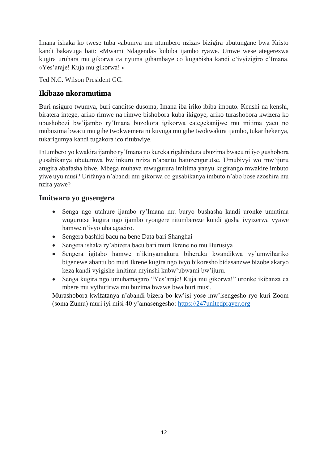Imana ishaka ko twese tuba «abumva mu ntumbero nziza» bizigira ubutungane bwa Kristo kandi bakavuga bati: «Mwami Ndagenda» kubiba ijambo ryawe. Umwe wese ategerezwa kugira uruhara mu gikorwa ca nyuma gihambaye co kugabisha kandi c'ivyizigiro c'Imana. «Yes'araje! Kuja mu gikorwa! »

Ted N.C. Wilson President GC.

# **Ikibazo nkoramutima**

Buri nsiguro twumva, buri canditse dusoma, Imana iba iriko ibiba imbuto. Kenshi na kenshi, biratera intege, ariko rimwe na rimwe bishobora kuba ikigoye, ariko turashobora kwizera ko ubushobozi bw'ijambo ry'Imana buzokora igikorwa categekanijwe mu mitima yacu no mubuzima bwacu mu gihe twokwemera ni kuvuga mu gihe twokwakira ijambo, tukarihekenya, tukarigumya kandi tugakora ico ritubwiye.

Intumbero yo kwakira ijambo ry'Imana no kureka rigahindura ubuzima bwacu ni iyo gushobora gusabikanya ubutumwa bw'inkuru nziza n'abantu batuzengurutse. Umubivyi wo mw'ijuru atugira abafasha biwe. Mbega muhava mwugurura imitima yanyu kugirango mwakire imbuto yiwe uyu musi? Urifanya n'abandi mu gikorwa co gusabikanya imbuto n'abo bose azoshira mu nzira yawe?

### **Imitwaro yo gusengera**

- Senga ngo utahure ijambo ry'Imana mu buryo bushasha kandi uronke umutima wugurutse kugira ngo ijambo ryongere ritumbereze kundi gusha ivyizerwa vyawe hamwe n'ivyo uha agaciro.
- Sengera bashiki bacu na bene Data bari Shanghai
- Sengera ishaka ry'abizera bacu bari muri Ikrene no mu Burusiya
- Sengera igitabo hamwe n'ikinyamakuru biheruka kwandikwa vy'umwihariko bigenewe abantu bo muri Ikrene kugira ngo ivyo bikoresho bidasanzwe bizobe akaryo keza kandi vyigishe imitima myinshi kubw'ubwami bw'ijuru.
- Senga kugira ngo umuhamagaro "Yes'araje! Kuja mu gikorwa!" uronke ikibanza ca mbere mu vyihutirwa mu buzima bwawe bwa buri musi.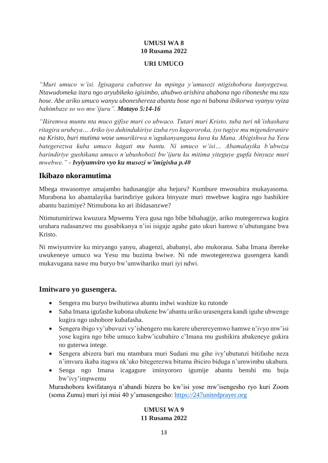#### **UMUSI WA 8 10 Rusama 2022**

#### **URI UMUCO**

<span id="page-16-1"></span><span id="page-16-0"></span>*"Muri umuco w'isi. Igisagara cubatswe ku mpinga y'umusozi ntigishobora kunyegezwa. Ntawudomeka itara ngo aryubikeko igisimbo, ahubwo arishira ahabona ngo riboneshe mu nzu hose. Abe ariko umuco wanyu uboneshereza abantu bose ngo ni babona ibikorwa vyanyu vyiza bahimbaze so wo mw'ijuru". Matayo 5:14-16*

*"Ikiremwa muntu nta muco gifise muri co ubwaco. Tutari muri Kristo, tuba turi nk'ishashara ritagira urubeya… Ariko iyo duhindukiriye izuba ryo kugororoka, iyo tugiye mu migenderanire na Kristo, buri mutima wose umurikirwa n'ugukanyangana kuva ku Mana. Abigishwa ba Yesu bategerezwa kuba umuco hagati mu bantu. Ni umuco w'isi… Abamalayika b'ubwiza barindiriye gushikana umuco n'ubushobozi bw'ijuru ku mitima yiteguye gupfa binyuze muri mwebwe." - Ivyiyumviro vyo ku musozi w'imigisha p.40*

### **Ikibazo nkoramutima**

Mbega mwasomye amajambo badusangije aha hejuru? Kumbure mwosubira mukayasoma. Murabona ko abamalayika barindiriye gukora binyuze muri mwebwe kugira ngo bashikire abantu bazimiye? Ntimubona ko ari ibidasanzwe?

Ntimutumirirwa kwuzura Mpwemu Yera gusa ngo bibe bibahagije, ariko mutegerezwa kugira uruhara rudasanzwe mu gusabikanya n'isi isigaje agahe gato ukuri hamwe n'ubutungane bwa Kristo.

Ni mwiyumvire ku miryango yanyu, abagenzi, ababanyi, abo mukorana. Saba Imana ibereke uwukeneye umuco wa Yesu mu buzima bwiwe. Ni nde mwotegerezwa gusengera kandi mukavugana nawe mu buryo bw'umwihariko muri iyi ndwi.

### **Imitwaro yo gusengera.**

- Sengera mu buryo bwihutirwa abantu indwi washize ku rutonde
- Saba Imana igufashe kubona ubukene bw'abantu uriko urasengera kandi iguhe ubwenge kugira ngo ushobore kubafasha.
- Sengera ibigo vy'ubuvuzi vy'ishengero mu karere uherereyemwo hamwe n'ivyo mw'isi yose kugira ngo bibe umuco kubw'icubahiro c'Imana mu gushikira abakeneye gukira no guterwa intege.
- Sengera abizera bari mu ntambara muri Sudani mu gihe ivy'ubutunzi bitifashe neza n'imvura ikaba itagwa nk'uko bitegerezwa bituma ibiciro biduga n'umwimbu ukabura.
- Senga ngo Imana icagagure iminyororo igumije abantu benshi mu buja bw'ivy'impwemu

<span id="page-16-2"></span>Murashobora kwifatanya n'abandi bizera bo kw'isi yose mw'isengesho ryo kuri Zoom (soma Zumu) muri iyi misi 40 y'amasengesho: [https://247unitedprayer.org](https://247unitedprayer.org/)

#### **UMUSI WA 9 11 Rusama 2022**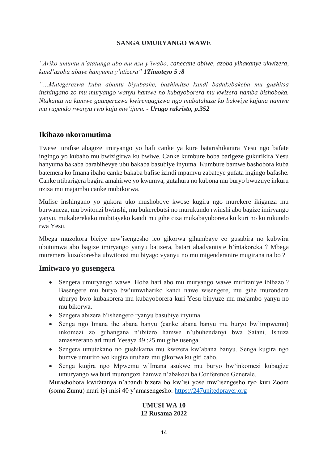#### **SANGA UMURYANGO WAWE**

<span id="page-17-0"></span>*"Ariko umuntu n'atatunga abo mu nzu y'iwabo, canecane abiwe, azoba yihakanye ukwizera, kand'azoba abaye hanyuma y'utizera" 1Timoteyo 5 :8*

*"…Mutegerezwa kuba abantu biyubashe, bashimitse kandi badakebakeba mu gushitsa inshingano zo mu muryango wanyu hamwe no kubayoborera mu kwizera namba bishoboka. Ntakantu na kamwe gategerezwa kwirengagizwa ngo mubatahuze ko bakwiye kujana namwe mu rugendo rwanyu rwo kuja mw'ijuru. - Urugo rukristo, p.352*

### **Ikibazo nkoramutima**

Twese turafise abagize imiryango yo hafi canke ya kure batarishikanira Yesu ngo bafate ingingo yo kubaho mu bwizigirwa ku bwiwe. Canke kumbure boba barigeze gukurikira Yesu hanyuma bakaba barabihevye ubu bakaba basubiye inyuma. Kumbure bamwe bashobora kuba batemera ko Imana ibaho canke bakaba bafise izindi mpamvu zabateye gufata ingingo bafashe. Canke ntibarigera bagira amahirwe yo kwumva, gutahura no kubona mu buryo bwuzuye inkuru nziza mu majambo canke mubikorwa.

Mufise inshingano yo gukora uko mushoboye kwose kugira ngo murekere ikiganza mu burwaneza, mu bwitonzi bwinshi, mu bukerebutsi no murukundo rwinshi abo bagize imiryango yanyu, mukaberekako mubitayeko kandi mu gihe ciza mukabayoborera ku kuri no ku rukundo rwa Yesu.

Mbega muzokora biciye mw'isengesho ico gikorwa gihambaye co gusabira no kubwira ubutumwa abo bagize imiryango yanyu batizera, batari abadvantiste b'intakoreka ? Mbega muremera kuzokoresha ubwitonzi mu biyago vyanyu no mu migenderanire mugirana na bo ?

#### **Imitwaro yo gusengera**

- Sengera umuryango wawe. Hoba hari abo mu muryango wawe mufitaniye ibibazo ? Basengere mu buryo bw'umwihariko kandi nawe wisengere, mu gihe murondera uburyo bwo kubakorera mu kubayoborera kuri Yesu binyuze mu majambo yanyu no mu bikorwa.
- Sengera abizera b'ishengero ryanyu basubiye inyuma
- Senga ngo Imana ihe abana banyu (canke abana banyu mu buryo bw'impwemu) inkomezi zo guhangana n'ibitero hamwe n'ubuhendanyi bwa Satani. Ishuza amasezerano ari muri Yesaya 49 :25 mu gihe usenga.
- Sengera umutekano no gushikama mu kwizera kw'abana banyu. Senga kugira ngo bumve umuriro wo kugira uruhara mu gikorwa ku giti cabo.
- Senga kugira ngo Mpwemu w'Imana asukwe mu buryo bw'inkomezi kubagize umuryango wa buri murongozi hamwe n'abakozi ba Conference Generale.

<span id="page-17-1"></span>Murashobora kwifatanya n'abandi bizera bo kw'isi yose mw'isengesho ryo kuri Zoom (soma Zumu) muri iyi misi 40 y'amasengesho: [https://247unitedprayer.org](https://247unitedprayer.org/)

#### **UMUSI WA 10 12 Rusama 2022**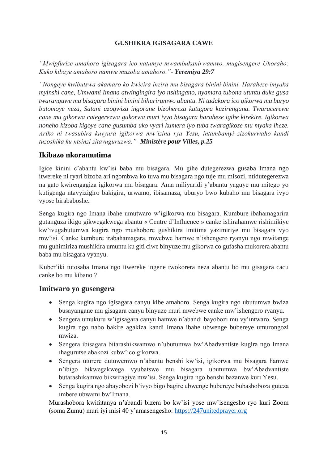#### **GUSHIKRA IGISAGARA CAWE**

<span id="page-18-0"></span>*"Mwipfurize amahoro igisagara ico natumye mwambukanirwamwo, mugisengere Uhoraho: Kuko kibaye amahoro namwe muzoba amahoro."- Yeremiya 29:7*

*"Nongeye kwibutswa akamaro ko kwicira inzira mu bisagara binini binini. Haraheze imyaka myinshi cane, Umwami Imana atwingingira iyo nshingano, nyamara tubona utuntu duke gusa twaranguwe mu bisagara binini binini bihuriramwo abantu. Ni tudakora ico gikorwa mu buryo butomoye neza, Satani azogwiza ingorane bizohereza kutugora kuzirengana. Twaracerewe cane mu gikorwa categerezwa gukorwa muri ivyo bisagara haraheze igihe kirekire. Igikorwa noneho kizoba kigoye cane gusumba uko vyari kumera iyo tuba twaragikoze mu myaka iheze. Ariko ni twasubira kuvyura igikorwa mw'izina rya Yesu, intambamyi zizokurwaho kandi tuzoshika ku ntsinzi zitavuguruzwa."- Ministère pour Villes, p.25*

### **Ikibazo nkoramutima**

Igice kinini c'abantu kw'isi baba mu bisagara. Mu gihe dutegerezwa gusaba Imana ngo itwereke ni ryari bizoba ari ngombwa ko tuva mu bisagara ngo tuje mu misozi, ntidutegerezwa na gato kwirengagiza igikorwa mu bisagara. Ama miliyaridi y'abantu yaguye mu mitego yo kutigenga ntavyizigiro bakigira, urwamo, ibisamaza, uburyo bwo kubaho mu bisagara ivyo vyose birababoshe.

Senga kugira ngo Imana ibahe umutwaro w'igikorwa mu bisagara. Kumbure ibahamagarira gutanguza ikigo gikwegakwega abantu « Centre d'Influence » canke ishirahamwe rishimikiye kw'ivugabutumwa kugira ngo mushobore gushikira imitima yazimiriye mu bisagara vyo mw'isi. Canke kumbure irabahamagara, mwebwe hamwe n'ishengero ryanyu ngo mwitange mu guhimiriza mushikira umuntu ku giti ciwe binyuze mu gikorwa co gufasha mukorera abantu baba mu bisagara vyanyu.

Kuber'iki tutosaba Imana ngo itwereke ingene twokorera neza abantu bo mu gisagara cacu canke bo mu kibano ?

### **Imitwaro yo gusengera**

- Senga kugira ngo igisagara canyu kibe amahoro. Senga kugira ngo ubutumwa bwiza busayangane mu gisagara canyu binyuze muri mwebwe canke mw'ishengero ryanyu.
- Sengera umukuru w'igisagara canyu hamwe n'abandi bayobozi mu vy'intwaro. Senga kugira ngo nabo bakire agakiza kandi Imana ibahe ubwenge bubereye umurongozi mwiza.
- Sengera ibisagara bitarashikwamwo n'ubutumwa bw'Abadvantiste kugira ngo Imana ihagurutse abakozi kubw'ico gikorwa.
- Sengera uturere dutuwemwo n'abantu benshi kw'isi, igikorwa mu bisagara hamwe n'ibigo bikwegakwega vyubatswe mu bisagara ubutumwa bw'Abadvantiste butarashikamwo bikwiragiye mw'isi. Senga kugira ngo benshi bazanwe kuri Yesu.
- Senga kugira ngo abayobozi b'ivyo bigo bagire ubwenge bubereye bubashoboza guteza imbere ubwami bw'Imana.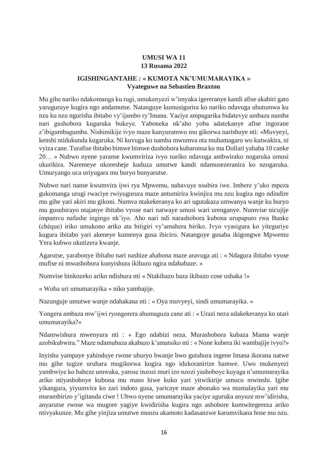### **UMUSI WA 11 13 Rusama 2022**

#### **IGISHINGANTAHE : « KUMOTA NK'UMUMARAYIKA » Vyateguwe na Sebastien Braxton**

<span id="page-19-1"></span><span id="page-19-0"></span>Mu gihe nariko ndakomanga ku rugi, umukenyezi w'imyaka igereranye kandi afise akabiri gato yaruguruye kugira ngo andamutse. Natanguye kumusigurira ko nariko ndavuga ubutumwa ku nzu ku nzu ngurisha ibitabo vy'ijambo ry'Imana. Yaciye ampagarika bidatevye ambaza namba nari gushobora kugaruka bukeye. Yaboneka nk'aho yoba adatekanye afise ingorane z'ibigumbagumba. Nishimikije ivyo maze kunyuramwo mu gikorwa narishuye nti: «Muvyeyi, kenshi ntidukunda kugaruka. Ni kuvuga ko namba mwumva nta muhamagaro wo kutwakira, ni vyiza cane. Turafise ibitabo bimwe bimwe dushobora kubaronsa ku ma Dollari yababa 10 canke 20… » Nubwo nyene yaranse kwumviriza ivyo nariko ndavuga ambwirako nogaruka umusi ukurikira. Naremeye nkoresheje kuduza umutwe kandi ndamusezeranira ko nzogaruka. Umuryango uca uriyugara mu buryo bunyarutse.

Nubwo nari nanse kwumvira ijwi rya Mpwemu, nahavuye nsubira iwe. Imbere y'uko mpeza gukomanga urugi rwaciye rwiyugurura maze antumirira kwinjira mu nzu kugira ngo ndindire mu gihe yari akiri mu gikoni. Numva ntakekeranya ko ari ugutakaza umwanya wanje ku buryo mu gusubirayo ntajanye ibitabo vyose nari natwaye umusi wari urenganye. Numvise nicujije impamvu nafashe ingingo nk'iyo. Aho nari ndi narashobora kubona urupapuro rwa Banke (chèque) iriko umukono ariko ata bitigiri vy'amahera biriko. Ivyo vyasigura ko yiteguriye kugura ibitabo yari akeneye kumenya gusa ibiciro. Natanguye gusaba ikigongwe Mpwemu Yera kubwo ukutizera kwanje.

Agarutse, yarabonye ibitabo nari nashize ahabona maze aravuga ati : « Ndagura ibitabo vyose mufise ni mwashobora kunyishura ikibazo ngira ndababaze. »

Numvise binkozeko ariko ndishura nti « Ntakibazo baza ikibazo cose ushaka !»

« Woba uri umumarayika » niko yambajije.

Nazunguje umutwe wanje ndahakana nti : « Oya muvyeyi, sindi umumarayika. »

Yongera ambaza mw'ijwi ryongorera ahumaguza cane ati : « Urazi neza udakekeranya ko utari umumarayika?»

Ndamwishura mwenyura nti : « Ego ndabizi neza. Murashobora kubaza Mama wanje azobikubwira." Maze ndamubaza akabazo k'amatsiko nti : « None kubera iki wambajije ivyo?»

Inyishu yampaye yahinduye rwose uburyo bwanje bwo gutahura ingene Imana ikorana natwe mu gihe tugize uruhara mugikorwa kugira ngo idukoranirize hamwe. Uwo mukenyezi yambwiye ko haheze umwaka, yarose inzozi muri izo nzozi yashoboye kuyaga n'umumarayika ariko ntiyashoboye kubona mu maso hiwe kuko yari yitwikirije umuco mwinshi. Igihe yikangura, yiyumvira ko zari indoto gusa, yaricaye maze abonako wa mumalayika yari mu marambirizo y'igitanda ciwe ! Ubwo nyene umumarayika yaciye aguruka anyuze mw'idirisha, anyarutse rwose wa mugore yagiye kwidirisha kugira ngo ashobore kumwitegereza ariko ntivyakunze. Mu gihe yinjiza umutwe munzu akamoto kadasanzwe karumvikana hose mu nzu.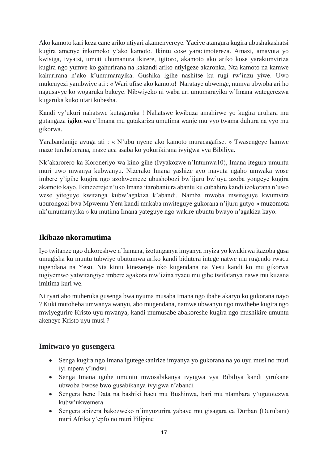Ako kamoto kari keza cane ariko ntiyari akamenyereye. Yaciye atangura kugira ubushakashatsi kugira amenye inkomoko y'ako kamoto. Ikintu cose yaracimotereza. Amazi, amavuta yo kwisiga, ivyatsi, umuti uhumanura ikirere, igitoro, akamoto ako ariko kose yarakumviriza kugira ngo yumve ko gahurirana na kakandi ariko ntiyigeze akaronka. Nta kamoto na kamwe kahurirana n'ako k'umumarayika. Gushika igihe nashitse ku rugi rw'inzu yiwe. Uwo mukenyezi yambwiye ati : « Wari ufise ako kamoto! Narataye ubwenge, numva ubwoba ari ho nagusavye ko wogaruka bukeye. Nibwiyeko ni waba uri umumarayika w'Imana wategerezwa kugaruka kuko utari kubesha.

Kandi vy'ukuri nahatswe kutagaruka ! Nahatswe kwibuza amahirwe yo kugira uruhara mu gutangaza igikorwa c'Imana mu gutakariza umutima wanje mu vyo twama duhura na vyo mu gikorwa.

Yarabandanije avuga ati : « N'ubu nyene ako kamoto muracagafise. » Twasengeye hamwe maze turahoberana, maze aca asaba ko yokurikirana ivyigwa vya Bibiliya.

Nk'akarorero ka Koroneriyo wa kino gihe (Ivyakozwe n'Intumwa10), Imana itegura umuntu muri uwo mwanya kubwanyu. Nizerako Imana yashize ayo mavuta ngaho umwaka wose imbere y'igihe kugira ngo azokwemeze ubushobozi bw'ijuru bw'uyu azoba yongeye kugira akamoto kayo. Ikinezereje n'uko Imana itarobaniura abantu ku cubahiro kandi izokorana n'uwo wese yiteguye kwitanga kubw'agakiza k'abandi. Namba mwoba mwiteguye kwumvira uburongozi bwa Mpwemu Yera kandi mukaba mwiteguye gukorana n'ijuru gutyo « muzomota nk'umumarayika » ku mutima Imana yateguye ngo wakire ubuntu bwayo n'agakiza kayo.

# **Ikibazo nkoramutima**

Iyo twitanze ngo dukoreshwe n'Iamana, izotunganya imyanya myiza yo kwakirwa itazoba gusa umugisha ku muntu tubwiye ubutumwa ariko kandi bidutera intege natwe mu rugendo rwacu tugendana na Yesu. Nta kintu kinezereje nko kugendana na Yesu kandi ko mu gikorwa tugiyemwo yatwitangiye imbere agakora mw'izina ryacu mu gihe twifatanya nawe mu kuzana imitima kuri we.

Ni ryari aho muheruka gusenga bwa nyuma musaba Imana ngo ibahe akaryo ko gukorana nayo ? Kuki mutoheba umwanya wanyu, abo mugendana, namwe ubwanyu ngo mwihebe kugira ngo mwiyegurire Kristo uyu mwanya, kandi mumusabe abakoreshe kugira ngo mushikire umuntu akeneye Kristo uyu musi ?

# **Imitwaro yo gusengera**

- Senga kugira ngo Imana igutegekanirize imyanya yo gukorana na yo uyu musi no muri iyi mpera y'indwi.
- Senga Imana iguhe umuntu mwosabikanya ivyigwa vya Bibiliya kandi yirukane ubwoba bwose bwo gusabikanya ivyigwa n'abandi
- Sengera bene Data na bashiki bacu mu Bushinwa, bari mu ntambara y'ugutotezwa kubw'ukwemera
- Sengera abizera bakozweko n'imyuzurira yabaye mu gisagara ca Durban (Durubani) muri Afrika y'epfo no muri Filipine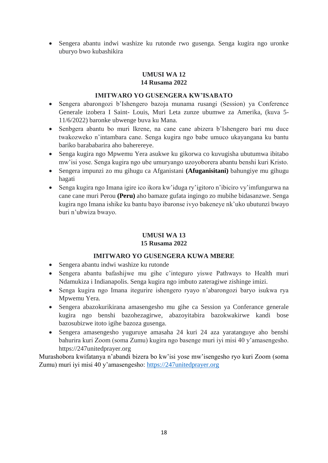<span id="page-21-0"></span> Sengera abantu indwi washize ku rutonde rwo gusenga. Senga kugira ngo uronke uburyo bwo kubashikira

#### **UMUSI WA 12 14 Rusama 2022**

#### **IMITWARO YO GUSENGERA KW'ISABATO**

- <span id="page-21-1"></span> Sengera abarongozi b'Ishengero bazoja munama rusangi (Session) ya Conference Generale izobera I Saint- Louis, Muri Leta zunze ubumwe za Amerika, (kuva 5- 11/6/2022) baronke ubwenge buva ku Mana.
- Senbgera abantu bo muri Ikrene, na cane cane abizera b'Ishengero bari mu duce twakozweko n'intambara cane. Senga kugira ngo babe umuco ukayangana ku bantu bariko barababarira aho baherereye.
- Senga kugira ngo Mpwemu Yera asukwe ku gikorwa co kuvugisha ubutumwa ibitabo mw'isi yose. Senga kugira ngo ube umuryango uzoyoborera abantu benshi kuri Kristo.
- Sengera impunzi zo mu gihugu ca Afganistani **(Afuganisitani)** bahungiye mu gihugu hagati
- Senga kugira ngo Imana igire ico ikora kw'iduga ry'igitoro n'ibiciro vy'imfungurwa na cane cane muri Perou **(Peru)** aho bamaze gufata ingingo zo mubihe bidasanzwe. Senga kugira ngo Imana ishike ku bantu bayo ibaronse ivyo bakeneye nk'uko ubutunzi bwayo buri n'ubwiza bwayo.

### **UMUSI WA 13 15 Rusama 2022**

#### **IMITWARO YO GUSENGERA KUWA MBERE**

- <span id="page-21-3"></span><span id="page-21-2"></span>Sengera abantu indwi washize ku rutonde
- Sengera abantu bafashijwe mu gihe c'integuro yiswe Pathways to Health muri Ndamukiza i Indianapolis. Senga kugira ngo imbuto zateragiwe zishinge imizi.
- Senga kugira ngo Imana itegurire ishengero ryayo n'abarongozi baryo isukwa rya Mpwemu Yera.
- Sengera abazokurikirana amasengesho mu gihe ca Session ya Conferance generale kugira ngo benshi bazohezagirwe, abazoyitabira bazokwakirwe kandi bose bazosubizwe itoto igihe bazoza gusenga.
- Sengera amasengesho yuguruye amasaha 24 kuri 24 aza yaratanguye aho benshi bahurira kuri Zoom (soma Zumu) kugira ngo basenge muri iyi misi 40 y'amasengesho. https://247unitedprayer.org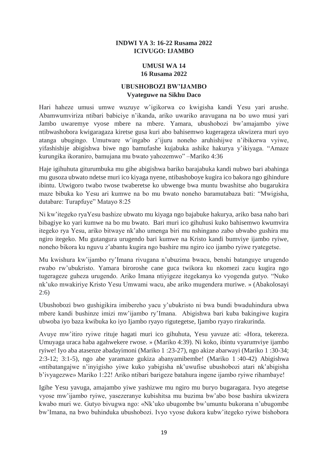#### **INDWI YA 3: 16-22 Rusama 2022 ICIVUGO: IJAMBO**

#### **UMUSI WA 14 16 Rusama 2022**

#### **UBUSHOBOZI BW'IJAMBO Vyateguwe na Sikhu Daco**

<span id="page-22-2"></span><span id="page-22-1"></span><span id="page-22-0"></span>Hari haheze umusi umwe wuzuye w'igikorwa co kwigisha kandi Yesu yari arushe. Abamwumviriza ntibari babiciye n'ikanda, ariko uwariko aravugana na bo uwo musi yari Jambo uwaremye vyose mbere na mbere. Yamara, ubushobozi bw'amajambo yiwe ntibwashobora kwigaragaza kiretse gusa kuri abo bahisemwo kugerageza ukwizera muri uyo atanga ubugingo. Umutware w'ingabo z'ijuru noneho aruhishijwe n'ibikorwa vyiwe, yifashishije abigishwa biwe ngo bamufashe kujabuka ashike hakurya y'ikiyaga. "Amaze kurungika ikoraniro, bamujana mu bwato yahozemwo" –Mariko 4:36

Haje igihuhuta giturumbuka mu gihe abigishwa bariko barajabuka kandi nubwo bari abahinga mu gusoza ubwato ndetse muri ico kiyaga nyene, ntibashoboye kugira ico bakora ngo gihindure ibintu. Utwigoro twabo twose twaberetse ko ubwenge bwa muntu bwashitse aho bugarukira maze bibuka ko Yesu ari kumwe na bo mu bwato noneho baramutabaza bati: "Mwigisha, dutabare: Turapfuye" Matayo 8:25

Ni kw'itegeko ryaYesu bashize ubwato mu kiyaga ngo bajabuke hakurya, ariko basa naho bari bibagiye ko yari kumwe na bo mu bwato. Bari muri ico gihuhusi kuko bahisemwo kwumvira itegeko rya Yesu, ariko bitwaye nk'aho umenga biri mu nshingano zabo ubwabo gushira mu ngiro itegeko. Mu gutangura urugendo bari kumwe na Kristo kandi bumviye ijambo ryiwe, noneho bikora ku nguvu z'abantu kugira ngo bashire mu ngiro ico ijambo ryiwe ryategetse.

Mu kwishura kw'ijambo ry'Imana rivugana n'ubuzima bwacu, benshi batanguye urugendo rwabo rw'ubukristo. Yamara biroroshe cane guca twikora ku nkomezi zacu kugira ngo tugerageze guheza urugendo. Ariko Imana ntiyigeze itegekanya ko vyogenda gutyo. "Nuko nk'uko mwakiriye Kristo Yesu Umwami wacu, abe ariko mugendera muriwe. » (Abakolosayi 2:6)

Ubushobozi bwo gushigikira imibereho yacu y'ubukristo ni bwa bundi bwaduhindura ubwa mbere kandi bushinze imizi mw'ijambo ry'Imana. Abigishwa bari kuba bakingiwe kugira ubwoba iyo baza kwibuka ko iyo Ijambo ryayo rigutegetse, Ijambo ryayo rirakurinda.

Avuye mw'itiro ryiwe rituje hagati muri ico gihuhuta, Yesu yavuze ati: «Hora, tekereza. Umuyaga uraca haba agahwekere rwose. » (Mariko 4:39). Ni koko, ibintu vyarumviye ijambo ryiwe! Iyo aba atasenze abadayimoni (Mariko 1 :23-27), ngo akize abarwayi (Mariko 1 :30-34; 2:3-12; 3:1-5), ngo abe yaramaze gukiza abanyamibembe! (Mariko 1 :40-42) Abigishwa «ntibatangajwe n'inyigisho yiwe kuko yabigisha nk'uwufise ubushobozi atari nk'abigisha b'ivyagezwe» Mariko 1:22! Ariko ntibari barigeze batahura ingene ijambo ryiwe rihambaye!

Igihe Yesu yavuga, amajambo yiwe yashizwe mu ngiro mu buryo bugaragara. Ivyo ategetse vyose mw'ijambo ryiwe, yasezeranye kubishitsa mu buzima bw'abo bose bashira ukwizera kwabo muri we. Gutyo bivugwa ngo: «Nk'uko ubugombe bw'umuntu bukorana n'ubugombe bw'Imana, na bwo buhinduka ubushobozi. Ivyo vyose dukora kubw'itegeko ryiwe bishobora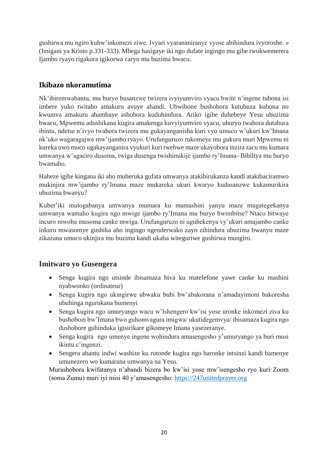gushirwa mu ngiro kubw'inkomezi ziwe. Ivyari vyarananiranye vyose abihindura ivyoroshe. » (Imigani ya Kristo p.331-333). Mbega hasigaye iki ngo dufate ingingo mu gihe twokwemerera Ijambo ryayo rigakora igikorwa caryo mu buzima bwacu.

# **Ikibazo nkoramutima**

Nk'ibiremwabantu, mu buryo busanzwe twizera ivyiyumviro vyacu bwite n'ingene tubona isi imbere yuko twitaho amakuru avuye ahandi. Ubwibone bushobora kutubuza kubona no kwumva amakuru ahambaye ashobora kuduhindura. Ariko igihe duhebeye Yesu ubuzima bwacu, Mpwemu adushikana kugira amakenga kuvyiyumviro vyacu, uburyo twahora dutahura ibintu, ndetse n'ivyo twahora twizera mu gukayanganisha kuri vyo umuco w'ukuri kw'Imana nk'uko wagaragajwe mw'ijambo ryayo. Urufunguruzo rukomeye mu gukura muri Mpwemu ni kureka uwo muco ugakayanganira vyukuri kuri twebwe maze ukayobora inzira zacu mu kumara umwanya w'agaciro dusoma, twiga dusenga twishimikije ijambo ry'Imana- Bibiliya mu buryo bwamaho.

Haheze igihe kingana iki aho muheruka gufata umwanya atakibirukanza kandi atakibaciramwo mukinjira mw'ijambo ry'Imana maze mukareka ukuri kwaryo kudasanzwe kukamurikira ubuzima bwanyu?

Kuber'iki mutogabanya umwanya mumara ku mamashini yanyu maze mugategekanya umwanya wamaho kugira ngo mwige ijambo ry'Imana mu buryo bwimbitse? Ntaco bitwaye incuro mwoba musoma canke mwiga. Urufunguruzo ni uguhekenya vy'ukuri amajambo canke inkuru mwasomye gushika aho ingingo ngenderwako zayo zihindura ubuzima bwanyu maze zikazana umuco ukinjira mu buzima kandi ukaba witeguriwe gushirwa mungiro.

# **Imitwaro yo Gusengera**

- Senga kugira ngo utsinde ibisamaza biva ku matelefone yawe canke ku mashini nyabwonko (ordinateur)
- Senga kugira ngo ukingirwe ubwaku bubi bw'abakorana n'amadayimoni bakoresha ubuhinga ngurukana bumenyi
- Senga kugira ngo umuryango wacu w'Ishengero kw'isi yose uronke inkomezi ziva ku bushobozi bw'Imana bwo guhomvagura imigwa/ ukutidegemvya/ ibisamaza kugira ngo dushobore guhinduka igisirikare gikomeye Imana yasezeranye.
- Senga kugira ngo umenye ingene wohindura amasengesho y'umuryango ya buri musi ikintu c'ingenzi.
- Sengera abantu indwi washize ku rutonde kugira ngo baronke intsinzi kandi bamenye umunezero wo kumarana umwanya na Yesu.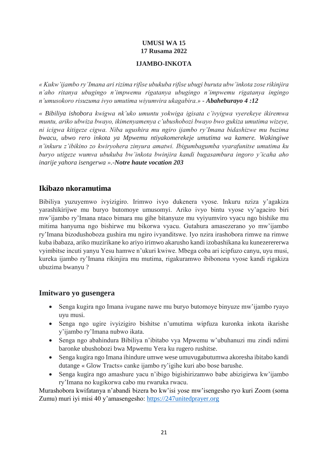### **UMUSI WA 15 17 Rusama 2022**

#### **IJAMBO-INKOTA**

<span id="page-24-1"></span><span id="page-24-0"></span>*« Kukw'ijambo ry'Imana ari rizima rifise ubukuba rifise ubugi buruta ubw'inkota zose rikinjira n'aho ritanya ubugingo n'impwemu rigatanya ubugingo n'impwemu rigatanya ingingo n'umusokoro risuzuma ivyo umutima wiyumvira ukagabira.» - Abaheburayo 4 :12*

*« Bibiliya ishobora kwigwa nk'uko umuntu yokwiga igisata c'ivyigwa vyerekeye ikiremwa muntu, ariko ubwiza bwayo, ikimenyamenya c'ubushobozi bwayo bwo gukiza umutima wizeye, ni icigwa kitigeze cigwa. Niba ugushira mu ngiro ijambo ry'Imana bidashizwe mu buzima bwacu, ubwo rero inkota ya Mpwemu ntiyakomerekeje umutima wa kamere. Wakingiwe n'inkuru z'ibikino zo kwiryohera zinyura amatwi. Ibigumbagumba vyarafunitse umutima ku buryo utigeze wumva ubukuba bw'inkota bwinjira kandi bugasambura ingoro y'icaha aho inarije yahora isengerwa ».-Notre haute vocation 203* 

### **Ikibazo nkoramutima**

Bibiliya yuzuyemwo ivyizigiro. Irimwo ivyo dukenera vyose. Inkuru nziza y'agakiza yarashikirijwe mu buryo butomoye umusomyi. Ariko ivyo bintu vyose vy'agaciro biri mw'ijambo ry'Imana ntaco bimara mu gihe bitanyuze mu vyiyumviro vyacu ngo bishike mu mitima hanyuma ngo bishirwe mu bikorwa vyacu. Gutahura amasezerano yo mw'ijambo ry'Imana bizodushoboza gushira mu ngiro ivyanditswe. Iyo nzira irashobora rimwe na rimwe kuba ibabaza, ariko muzirikane ko ariyo irimwo akarusho kandi izobashikana ku kunezerererwa vyimbitse incuti yanyu Yesu hamwe n'ukuri kwiwe. Mbega coba ari icipfuzo canyu, uyu musi, kureka ijambo ry'Imana rikinjira mu mutima, rigakuramwo ibibonona vyose kandi rigakiza ubuzima bwanyu ?

#### **Imitwaro yo gusengera**

- Senga kugira ngo Imana ivugane nawe mu buryo butomoye binyuze mw'ijambo ryayo uyu musi.
- Senga ngo ugire ivyizigiro bishitse n'umutima wipfuza kuronka inkota ikarishe y'ijambo ry'Imana nubwo ikata.
- Senga ngo abahindura Bibiliya n'ibitabo vya Mpwemu w'ubuhanuzi mu zindi ndimi baronke ubushobozi bwa Mpwemu Yera ku rugero rushitse.
- Senga kugira ngo Imana ihindure umwe wese umuvugabutumwa akoresha ibitabo kandi dutange « Glow Tracts» canke ijambo ry'igihe kuri abo bose barushe.
- Senga kugira ngo amashure yacu n'ibigo bigishirizamwo babe abizigirwa kw'ijambo ry'Imana no kugikorwa cabo mu rwaruka rwacu.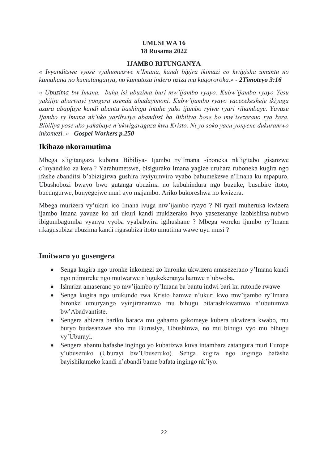#### **UMUSI WA 16 18 Rusama 2022**

#### **IJAMBO RITUNGANYA**

<span id="page-25-1"></span><span id="page-25-0"></span>*« Ivyanditswe vyose vyahumetswe n'Imana, kandi bigira ikimazi co kwigisha umuntu no kumuhana no kumutunganya, no kumutoza indero nziza mu kugororoka.» - 2Timoteyo 3:16*

*« Ubuzima bw'Imana, buha isi ubuzima buri mw'ijambo ryayo. Kubw'ijambo ryayo Yesu yakijije abarwayi yongera asenda abadayimoni. Kubw'ijambo ryayo yacecekesheje ikiyaga azura abapfuye kandi abantu bashinga intahe yuko ijambo ryiwe ryari rihambaye. Yavuze Ijambo ry'Imana nk'uko yaribwiye abanditsi ba Bibiliya bose bo mw'isezerano rya kera. Bibiliya yose uko yakabaye n'ukwigaragaza kwa Kristo. Ni yo soko yacu yonyene dukuramwo inkomezi. » –Gospel Workers p.250*

### **Ikibazo nkoramutima**

Mbega s'igitangaza kubona Bibiliya- Ijambo ry'Imana -iboneka nk'igitabo gisanzwe c'inyandiko za kera ? Yarahumetswe, bisigurako Imana yagize uruhara ruboneka kugira ngo ifashe abanditsi b'abizigirwa gushira ivyiyumviro vyabo bahumekewe n'Imana ku mpapuro. Ubushobozi bwayo bwo gutanga ubuzima no kubuhindura ngo buzuke, busubire itoto, bucungurwe, bunyegejwe muri ayo majambo. Ariko bukoreshwa no kwizera.

Mbega murizera vy'ukuri ico Imana ivuga mw'ijambo ryayo ? Ni ryari muheruka kwizera ijambo Imana yavuze ko ari ukuri kandi mukizerako ivyo yasezeranye izobishitsa nubwo ibigumbagumba vyanyu vyoba vyababwira igihushane ? Mbega woreka ijambo ry'Imana rikagusubiza ubuzima kandi rigasubiza itoto umutima wawe uyu musi ?

### **Imitwaro yo gusengera**

- Senga kugira ngo uronke inkomezi zo kuronka ukwizera amasezerano y'Imana kandi ngo ntimureke ngo mutwarwe n'ugukekeranya hamwe n'ubwoba.
- Ishuriza amaserano yo mw'ijambo ry'Imana ba bantu indwi bari ku rutonde rwawe
- Senga kugira ngo urukundo rwa Kristo hamwe n'ukuri kwo mw'ijambo ry'Imana bironke umuryango vyinjiranamwo mu bihugu bitarashikwamwo n'ubutumwa bw'Abadvantiste.
- Sengera abizera bariko baraca mu gahamo gakomeye kubera ukwizera kwabo, mu buryo budasanzwe abo mu Burusiya, Ubushinwa, no mu bihugu vyo mu bihugu vy'Uburayi.
- Sengera abantu bafashe ingingo yo kubatizwa kuva intambara zatangura muri Europe y'ubuseruko (Uburayi bw'Ubuseruko). Senga kugira ngo ingingo bafashe bayishikameko kandi n'abandi bame bafata ingingo nk'iyo.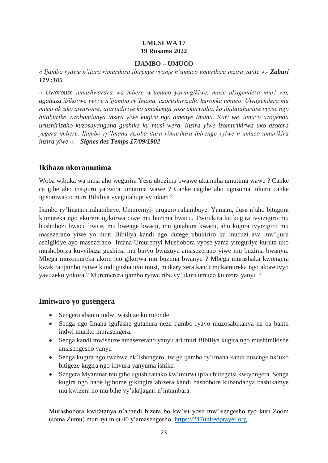#### **UMUSI WA 17 19 Rusama 2022**

#### **IJAMBO – UMUCO**

<span id="page-26-1"></span><span id="page-26-0"></span>*« Ijambo ryawe n'itara rimurikira ibirenge vyanje n'umuco umurikira inzira yanje ».- Zaburi 119 :105*

*« Uwaronse umushwarara wa mbere w'umuco yarungikiwe, maze akagendera muri wo, agahuza ibikorwa vyiwe n'ijambo ry'Imana, azorushirizaho kuronka umuco. Uwugendera mu muco nk'uko awuronse, atarindiriye ko amakenga yose akurwaho, ko ibidatahuritse vyose ngo bitahurike, azobandanya inzira yiwe kugira ngo amenye Imana. Kuri we, umuco uzogenda urushirizaho kuzosayangana gushika ku musi wera. Inzira yiwe izomurikirwa uko azotera yegera imbere. Ijambo ry'Imana rizoba itara rimurikira ibirenge vyiwe n'umuco umurikira inzira yiwe ». - Signes des Temps 17/09/1902*

### **Ikibazo nkoramutima**

Woba wibuka wa musi aho wegurira Yesu ubuzima bwawe ukamuha umutima wawe ? Canke ca gihe aho insiguro yabwira umutima wawe ? Canke cagihe aho ugusoma inkuru canke igisomwa co muri Bibiliya vyagutahuje vy'ukuri ?

Ijambo ry'Imana rirahambaye. Umuremyi- urugero ruhambaye. Yamara, dusa n'aho bitugora kumureka ngo akorere igikorwa ciwe mu buzima bwacu. Twirukira ku kugira ivyizigiro mu bushobozi bwacu bwite, mu bwenge bwacu, mu gutahura kwacu, aho kugira ivyizigiro mu masezerano yiwe yo muri Bibiliya kandi ngo dutege ubukiriro ku mucuzi ava mw'ijuru ashigikiye ayo masezerano- Imana Umuremyi Mushobora vyose yama yiteguriye kuruta uko mushoborza kuvyibaza gushitsa mu buryo bwuzuye amasezerano yiwe mu buzima bwanyu. Mbega muzomureka akore ico gikorwa mu buzima bwanyu ? Mbega murashaka kwongera kwakira ijambo ryiwe kundi gusha uyu musi, mukaryizera kandi mukamureka ngo akore ivyo yavuzeko yokora ? Muremerera ijambo ryiwe ribe vy'ukuri umuco ku nzira yanyu ?

### **Imitwaro yo gusengera**

- Sengera abantu indwi washize ku rutonde
- Senga ngo Imana igufashe gutahura neza ijambo ryayo muzosabikanya na ba bantu indwi muriko murasengera.
- Senga kandi mwishuze amasezerano yanyu ari muri Bibiliya kugira ngo mushimikishe amasengesho yanyu
- Senga kugira ngo twebwe nk'Ishengero, twige ijambo ry'Imana kandi dusenge nk'uko bitigeze kugira ngo imvura yanyuma ishike.
- Sengera Myanmar mu gihe ugushiranako kw'imirwi ipfa ubutegetsi kwiyongera. Senga kugira ngo habe igihome gikingira abizera kandi bashobore kubandanya bashikamye mu kwizera no mu bihe vy'akajagari n'intambara.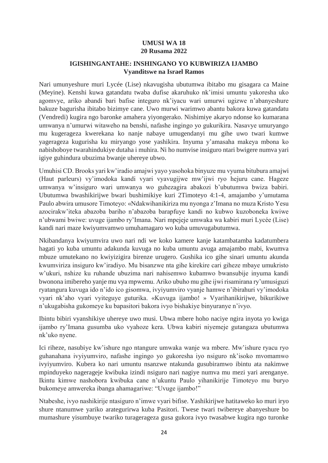#### **UMUSI WA 18 20 Rusama 2022**

#### <span id="page-27-0"></span>**IGISHINGANTAHE: INSHINGANO YO KUBWIRIZA IJAMBO Vyanditswe na Israel Ramos**

<span id="page-27-1"></span>Nari umunyeshure muri Lycée (Lise) nkavugisha ubutumwa ibitabo mu gisagara ca Maine (Meyine). Kenshi kuwa gatandatu twaba dufise akaruhuko nk'imisi umuntu yakoresha uko agomvye, ariko abandi bari bafise integuro nk'iyacu wari umurwi ugizwe n'abanyeshure bakuze bagurisha ibitabo bizimye cane. Uwo murwi warimwo abantu bakora kuwa gatandatu (Vendredi) kugira ngo baronke amahera yiyongerako. Nishimiye akaryo ndonse ko kumarana umwanya n'umurwi witaweho na benshi, nafashe ingingo yo gukurikira. Nasavye umuryango mu kugerageza kwerekana ko nanje nabaye umugendanyi mu gihe uwo twari kumwe yagerageza kugurisha ku miryango yose yashikira. Inyuma y'amasaha makeya mbona ko nabishoboye twarahindukiye dutaha i muhira. Ni ho numvise insiguro ntari bwigere numva yari igiye guhindura ubuzima bwanje uhereye ubwo.

Umuhisi CD. Brooks yari kw'iradio amajwi yayo yasohoka binyuze mu vyuma bitubura amajwi (Haut parleurs) vy'imodoka kandi vyari vyavugijwe mw'ijwi ryo hejuru cane. Hageze umwanya w'insiguro wari umwanya wo guhezagira abakozi b'ubutumwa bwiza babiri. Ubutumwa bwashikirijwe bwari bushimikiye kuri 2Timoteyo 4:1-4, amajambo y'umutama Paulo abwira umusore Timoteyo: «Ndakwihanikiriza mu nyonga z'Imana no muza Kristo Yesu azocirakw'iteka abazoba bariho n'abazoba barapfuye kandi no kubwo kuzoboneka kwiwe n'ubwami bwiwe: uvuge ijambo ry'Imana. Nari mpejeje umwaka wa kabiri muri Lycée (Lise) kandi nari maze kwiyumvamwo umuhamagaro wo kuba umuvugabutumwa.

Nkibandanya kwiyumvira uwo nari ndi we koko kamere kanje katambatamba kadatumbera hagati yo kuba umuntu adakunda kuvuga no kuba umuntu avuga amajambo mabi, kwumva mbuze umutekano no kwiyizigira birenze urugero. Gushika ico gihe sinari umuntu akunda kwumviriza insiguro kw'iradiyo. Mu bisanzwe nta gihe kirekire cari giheze mbaye umukristo w'ukuri, nshize ku ruhande ubuzima nari nahisemwo kubamwo bwansubije inyuma kandi bwonona imibereho yanje mu vya mpwemu. Ariko ubuho mu gihe ijwi risamirana ry'umusiguzi ryatangura kuvuga ido n'ido ico gisomwa, ivyiyumviro vyanje hamwe n'ibirahuri vy'imodoka vyari nk'aho vyari vyiteguye guturika. «Kuvuga ijambo! » Vyarihanikirijwe, bikurikiwe n'ukugabisha gukomeye ku bapasitori bakora ivyo bishakiye binyuranye n'ivyo.

Ibintu bibiri vyanshikiye uhereye uwo musi. Ubwa mbere hoho naciye ngira inyota yo kwiga ijambo ry'Imana gusumba uko vyahoze kera. Ubwa kabiri niyemeje gutangaza ubutumwa nk'uko nyene.

Ici riheze, nasubiye kw'ishure ngo ntangure umwaka wanje wa mbere. Mw'ishure ryacu ryo guhanahana ivyiyumviro, nafashe ingingo yo gukoresha iyo nsiguro nk'isoko mvomamwo ivyiyumviro. Kubera ko nari umuntu nsanzwe ntakunda gusubiramwo ibintu ata nakimwe mpinduyeko nagerageje kwibuka izindi nsiguro nari nagiye numva mu mezi yari arenganye. Ikintu kimwe nashobora kwibuka cane n'ukuntu Paulo yihanikirije Timoteyo mu buryo bukomeye amwereka ibanga ahamagariwe: "Uvuge ijambo!"

Ntabeshe, ivyo nashikirije ntasiguro n'imwe vyari bifise. Yashikirijwe hatitaweko ko muri iryo shure ntanumwe yariko arategurirwa kuba Pasitori. Twese twari twibereye abanyeshure bo mumashure yisumbuye twariko turagerageza gusa gukora ivyo twasabwe kugira ngo turonke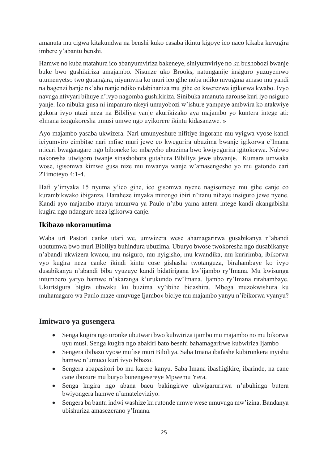amanuta mu cigwa kitakundwa na benshi kuko casaba ikintu kigoye ico naco kikaba kuvugira imbere y'abantu benshi.

Hamwe no kuba ntatahura ico abanyumviriza bakeneye, siniyumviriye no ku bushobozi bwanje buke bwo gushikiriza amajambo. Nisunze uko Brooks, natunganije insiguro yuzuyemwo utumenyetso two gutangara, niyumvira ko muri ico gihe noba ndiko mvugana amaso mu yandi na bagenzi banje nk'aho nanje ndiko ndabihaniza mu gihe co kwerezwa igikorwa kwabo. Ivyo navuga ntivyari bihuye n'ivyo nagomba gushikiriza. Sinibuka amanuta naronse kuri iyo nsiguro yanje. Ico nibuka gusa ni impanuro nkeyi umuyobozi w'ishure yampaye ambwira ko ntakwiye gukora ivyo ntazi neza na Bibiliya yanje akurikizako aya majambo yo kuntera intege ati: «Imana izogukoresha umusi umwe ngo uyikorere ikintu kidasanzwe. »

Ayo majambo yasaba ukwizera. Nari umunyeshure nifitiye ingorane mu vyigwa vyose kandi iciyumviro cimbitse nari mfise muri jewe co kwegurira ubuzima bwanje igikorwa c'Imana nticari bwagaragare ngo biboneke ko mbayeho ubuzima bwo kwiyegurira igitokorwa. Nubwo nakoresha utwigoro twanje sinashobora gutahura Bibiliya jewe ubwanje. Kumara umwaka wose, igisomwa kimwe gusa nize mu mwanya wanje w'amasengesho yo mu gatondo cari 2Timoteyo 4:1-4.

Hafi y'imyaka 15 nyuma y'ico gihe, ico gisomwa nyene nagisomeye mu gihe canje co kurambikwako ibiganza. Haraheze imyaka mirongo ibiri n'itanu nihaye insiguro jewe nyene. Kandi ayo majambo atarya umunwa ya Paulo n'ubu yama antera intege kandi akangabisha kugira ngo ndangure neza igikorwa canje.

# **Ikibazo nkoramutima**

Waba uri Pastori canke utari we, umwizera wese ahamagarirwa gusabikanya n'abandi ubutumwa bwo muri Bibiliya buhindura ubuzima. Uburyo bwose twokoresha ngo dusabikanye n'abandi ukwizera kwacu, mu nsiguro, mu nyigisho, mu kwandika, mu kuririmba, ibikorwa vyo kugira neza canke ikindi kintu cose gishasha twotanguza, birahambaye ko ivyo dusabikanya n'abandi biba vyuzuye kandi bidatirigana kw'ijambo ry'Imana. Mu kwisunga intumbero yaryo hamwe n'akaranga k'urukundo rw'Imana. Ijambo ry'Imana rirahambaye. Ukurisigura bigira ubwaku ku buzima vy'ibihe bidashira. Mbega muzokwishura ku muhamagaro wa Paulo maze «muvuge Ijambo» biciye mu majambo yanyu n'ibikorwa vyanyu?

### **Imitwaro ya gusengera**

- Senga kugira ngo uronke ubutwari bwo kubwiriza ijambo mu majambo no mu bikorwa uyu musi. Senga kugira ngo abakiri bato besnhi bahamagarirwe kubwiriza Ijambo
- Sengera ibibazo vyose mufise muri Bibiliya. Saba Imana ibafashe kubironkera inyishu hamwe n'umuco kuri ivyo bibazo.
- Sengera abapasitori bo mu karere kanyu. Saba Imana ibashigikire, ibarinde, na cane cane ibuzure mu buryo bunengesereye Mpwemu Yera.
- Senga kugira ngo abana bacu bakingirwe ukwigarurirwa n'ubuhinga butera bwiyongera hamwe n'amateleviziyo.
- Sengera ba bantu indwi washize ku rutonde umwe wese umuvuga mw'izina. Bandanya ubishuriza amasezerano y'Imana.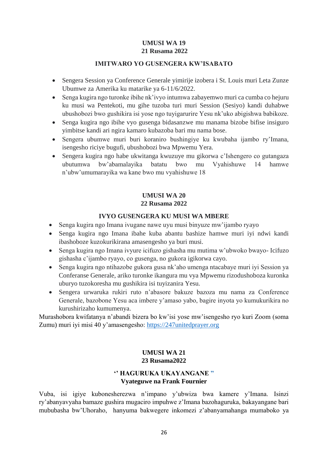#### **UMUSI WA 19 21 Rusama 2022**

#### **IMITWARO YO GUSENGERA KW'ISABATO**

- <span id="page-29-1"></span><span id="page-29-0"></span> Sengera Session ya Conference Generale yimirije izobera i St. Louis muri Leta Zunze Ubumwe za Amerika ku matarike ya 6-11/6/2022.
- Senga kugira ngo turonke ibihe nk'ivyo intumwa zabayemwo muri ca cumba co hejuru ku musi wa Pentekoti, mu gihe tuzoba turi muri Session (Sesiyo) kandi duhabwe ubushobozi bwo gushikira isi yose ngo tuyigarurire Yesu nk'uko abigishwa babikoze.
- Senga kugira ngo ibihe vyo gusenga bidasanzwe mu manama bizobe bifise insiguro yimbitse kandi ari ngira kamaro kubazoba bari mu nama bose.
- Sengera ubumwe muri buri koraniro bushingiye ku kwubaha ijambo ry'Imana, isengesho riciye bugufi, ubushobozi bwa Mpwemu Yera.
- Sengera kugira ngo habe ukwitanga kwuzuye mu gikorwa c'Ishengero co gutangaza ubutumwa bw'abamalayika batatu bwo mu Vyahishuwe 14 hamwe n'ubw'umumarayika wa kane bwo mu vyahishuwe 18

### **UMUSI WA 20 22 Rusama 2022**

#### **IVYO GUSENGERA KU MUSI WA MBERE**

- <span id="page-29-3"></span><span id="page-29-2"></span>Senga kugira ngo Imana ivugane nawe uyu musi binyuze mw'ijambo ryayo
- Senga kugira ngo Imana ibahe kuba abantu bashize hamwe muri iyi ndwi kandi ibashoboze kuzokurikirana amasengesho ya buri musi.
- Senga kugira ngo Imana ivyure icifuzo gishasha mu mutima w'ubwoko bwayo- Icifuzo gishasha c'ijambo ryayo, co gusenga, no gukora igikorwa cayo.
- Senga kugira ngo ntihazobe gukora gusa nk'aho umenga ntacabaye muri iyi Session ya Conferanse Generale, ariko turonke ikangura mu vya Mpwemu rizodushoboza kuronka uburyo tuzokoresha mu gushikira isi tuyizanira Yesu.
- Sengera urwaruka rukiri ruto n'abasore bakuze bazoza mu nama za Conference Generale, bazobone Yesu aca imbere y'amaso yabo, bagire inyota yo kumukurikira no kurushirizaho kumumenya.

<span id="page-29-4"></span>Murashobora kwifatanya n'abandi bizera bo kw'isi yose mw'isengesho ryo kuri Zoom (soma Zumu) muri iyi misi 40 y'amasengesho: [https://247unitedprayer.org](https://247unitedprayer.org/) 

#### **UMUSI WA 21 23 Rusama2022**

#### **'' HAGURUKA UKAYANGANE ˮ Vyateguwe na Frank Fournier**

<span id="page-29-5"></span>Vuba, isi igiye kubonesherezwa n'impano y'ubwiza bwa kamere y'Imana. Isinzi ry'abanyavyaha bamaze gushira mugaciro impuhwe z'Imana bazohaguruka, bakayangane bari mububasha bw'Uhoraho, hanyuma bakwegere inkomezi z'abanyamahanga mumaboko ya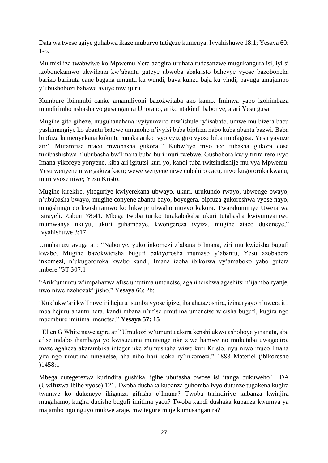Data wa twese agiye guhabwa ikaze muburyo tutigeze kumenya. Ivyahishuwe 18:1; Yesaya 60: 1-5.

Mu misi iza twabwiwe ko Mpwemu Yera azogira uruhara rudasanzwe mugukangura isi, iyi si izobonekamwo ukwihana kw'abantu guteye ubwoba abakristo bahevye vyose bazoboneka bariko barihuta cane bagana umuntu ku wundi, bava kunzu baja ku yindi, bavuga amajambo y'ubushobozi bahawe avuye mw'ijuru.

Kumbure ibihumbi canke amamiliyoni bazokwitaba ako kamo. Iminwa yabo izohimbaza mundirimbo nshasha yo gusanganira Uhoraho, ariko ntakindi babonye, atari Yesu gusa.

Mugihe gito giheze, muguhanahana ivyiyumviro mw'ishule ry'isabato, umwe mu bizera bacu yashimangiye ko abantu batewe umunoho n'ivyisi baba bipfuza nabo kuba abantu bazwi. Baba bipfuza kumenyekana kukintu runaka ariko ivyo vyizigiro vyose biba impfagusa. Yesu yavuze ati:" Mutamfise ntaco mwobasha gukora.'' Kubw'iyo mvo ico tubasha gukora cose tukibashishwa n'ububasha bw'Imana buba buri muri twebwe. Gushobora kwiyitirira rero ivyo Imana yikoreye yonyene, kiba ari igitutsi kuri yo, kandi tuba twitsindishije mu vya Mpwemu. Yesu wenyene niwe gakiza kacu; wewe wenyene niwe cubahiro cacu, niwe kugororoka kwacu, muri vyose niwe; Yesu Kristo.

Mugihe kirekire, yiteguriye kwiyerekana ubwayo, ukuri, urukundo rwayo, ubwenge bwayo, n'ububasha bwayo, mugihe conyene abantu bayo, boyegera, bipfuza gukoreshwa vyose nayo, mugishingo co kwishiramwo ko bikwije ubwabo muvyo kakora. Twarakumiriye Uwera wa Isirayeli. Zaburi 78:41. Mbega twoba turiko turakabakaba ukuri tutabasha kwiyumvamwo mumwanya nkuyu, ukuri guhambaye, kwongereza ivyiza, mugihe ataco dukeneye," Ivyahishuwe 3:17.

Umuhanuzi avuga ati: "Nabonye, yuko inkomezi z'abana b'Imana, ziri mu kwicisha bugufi kwabo. Mugihe bazokwicisha bugufi bakiyorosha mumaso y'abantu, Yesu azobabera inkomezi, n'ukugororoka kwabo kandi, Imana izoha ibikorwa vy'amaboko yabo gutera imbere."3T 307:1

"Arik'umuntu w'impahazwa afise umutima umenetse, agahindishwa agashitsi n'ijambo ryanje, uwo niwe nzohozak'ijisho." Yesaya 66: 2b;

'Kuk'ukw'ari kw'Imwe iri hejuru isumba vyose igize, iba ahatazoshira, izina ryayo n'uwera iti: mba hejuru ahantu hera, kandi mbana n'ufise umutima umenetse wicisha bugufi, kugira ngo mpembure imitima imenetse." **Yesaya 57: 15**

 Ellen G White nawe agira ati" Umukozi w'umuntu akora kenshi ukwo ashoboye yinanata, aba afise indabo ihambaya yo kwisuzuma muntenge nke ziwe hamwe no mukutaba uwagaciro, maze agaheza akarambika integer nke z'umushaha wiwe kuri Kristo, uyu niwo muco Imana yita ngo umutima umenetse, aha niho hari isoko ry'inkomezi." 1888 Materiel (ibikoresho )1458:1

Mbega dutegerezwa kurindira gushika, igihe ubufasha bwose isi itanga bukuweho? DA (Uwifuzwa Ibihe vyose) 121. Twoba dushaka kubanza guhomba ivyo dutunze tugakena kugira twumve ko dukeneye ikiganza gifasha c'Imana? Twoba turindiriye kubanza kwinjira mugahamo, kugira ducishe bugufi imitima yacu? Twoba kandi dushaka kubanza kwumva ya majambo ngo nguyo mukwe araje, mwitegure muje kumusanganira?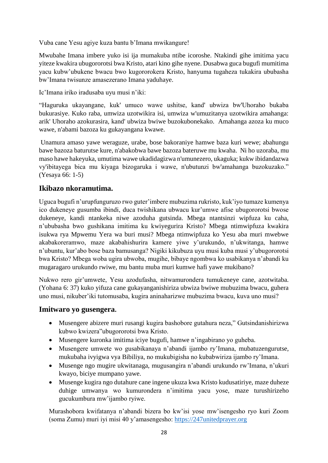Vuba cane Yesu agiye kuza bantu b'Imana mwikangure!

Mwubahe Imana imbere yuko isi ija mumakuba ntibe icoroshe. Ntakindi gihe imitima yacu yiteze kwakira ubugororotsi bwa Kristo, atari kino gihe nyene. Dusabwa guca bugufi mumitima yacu kubw'ubukene bwacu bwo kugororokera Kristo, hanyuma tugaheza tukakira ububasha bw'Imana twisunze amasezerano Imana yaduhaye.

Ic'Imana iriko iradusaba uyu musi n'iki:

"Haguruka ukayangane, kuk' umuco wawe ushitse, kand' ubwiza bw'Uhoraho bukaba bukurasiye. Kuko raba, umwiza uzotwikira isi, umwiza w'umuzitanya uzotwikira amahanga: arik' Uhoraho azokurasira, kand' ubwiza bwiwe buzokubonekako. Amahanga azoza ku muco wawe, n'abami bazoza ku gukayangana kwawe.

Unamura amaso yawe weraguze, urabe, bose bakoraniye hamwe baza kuri wewe; abahungu bawe bazoza baturutse kure, n'abakobwa bawe bazoza bateruwe mu kwaha. Ni ho uzoraba, mu maso hawe hakeyuka, umutima wawe ukadidagizwa n'umunezero, ukaguka; kukw ibidandazwa vy'ibitayega bica mu kiyaga bizogaruka i wawe, n'ubutunzi bw'amahanga buzokuzako." (Yesaya 66: 1-5)

# **Ikibazo nkoramutima.**

Uguca bugufi n'urupfunguruzo rwo guter'imbere mubuzima rukristo, kuk'iyo tumaze kumenya ico dukeneye gusumba ibindi, duca twishikana ubwacu kur'umwe afise ubugororotsi bwose dukeneye, kandi ntankeka niwe azoduha gutsinda. Mbega ntantsinzi wipfuza ku caha, n'ububasha bwo gushikana imitima ku kwiyegurira Kristo? Mbega ntimwipfuza kwakira isukwa rya Mpwemu Yera wa buri musi? Mbega ntimwipfuza ko Yesu aba muri mwebwe akabakoreramwo, maze akabahishurira kamere yiwe y'urukundo, n'ukwitanga, hamwe n'ubuntu, kur'abo bose baza bamusanga? Nigiki kikubuza uyu musi kuba musi y'ubugororotsi bwa Kristo? Mbega woba ugira ubwoba, mugihe, bibaye ngombwa ko usabikanya n'abandi ku mugaragaro urukundo rwiwe, mu bantu muba muri kumwe hafi yawe mukibano?

Nukwo rero gir'umwete, Yesu azodufasha, nitwamurondera tumukeneye cane, azotwitaba. (Yohana 6: 37) kuko yifuza cane gukayanganishiriza ubwiza bwiwe mubuzima bwacu, guhera uno musi, nikuber'iki tutomusaba, kugira aninaharizwe mubuzima bwacu, kuva uno musi?

### **Imitwaro yo gusengera.**

- Musengere abizere muri rusangi kugira bashobore gutahura neza," Gutsindanishirizwa kubwo kwizera"ubugororotsi bwa Kristo.
- Musengere kuronka imitima iciye bugufi, hamwe n'ingabirano yo guheba.
- Musengere umwete wo gusabikanaya n'abandi ijambo ry'Imana, mubatuzengurutse, mukubaha ivyigwa vya Bibiliya, no mukubigisha no kubabwiriza ijambo ry'Imana.
- Musenge ngo mugire ukwitanaga, mugusangira n'abandi urukundo rw'Imana, n'ukuri kwayo, biciye mumpano yawe.
- Musenge kugira ngo dutahure cane ingene ukuza kwa Kristo kudusatiriye, maze duheze duhige umwanya wo kumurondera n'imitima yacu yose, maze turushirizeho gucukumbura mw'ijambo ryiwe.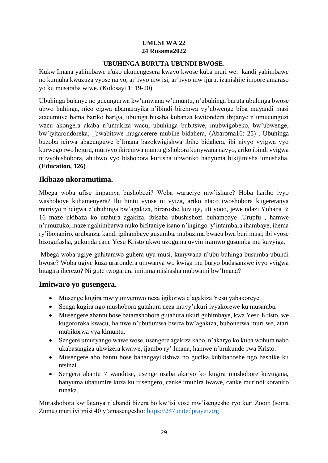### **UMUSI WA 22 24 Rusama2022**

#### **UBUHINGA BURUTA UBUNDI BWOSE.**

<span id="page-32-1"></span><span id="page-32-0"></span>Kukw Imana yahimbawe n'uko ukunengesera kwayo kwose kuba muri we: kandi yahimbawe no kumuha kwuzuza vyose na yo, ar' ivyo mw isi, ar' ivyo mw ijuru, izanishije impore amaraso yo ku musaraba wiwe. (Kolosayi 1: 19-20)

Ubuhinga bujanye no gucungurwa kw'umwana w'umuntu, n'ubuhinga buruta ubuhinga bwose ubwo buhinga, nico cigwa abamarayika n'ibindi biremwa vy'ubwenge biba muyandi masi atacumuye bama bariko bariga, ubuhiga busaba kubanza kwitondera ibijanye n'umucunguzi wacu akongera akaba n'umukiza wacu, ubuhinga bubitswe, mubwigobeko, bw'ubwenge, bw'iyitarondoreka, \_bwabitswe mugacerere mubihe bidahera, (Abaroma16: 25) . Ubuhinga buzoba icirwa abacunguwe b'Imana bazokwigishwa ibihe bidahera, ibi nivyo vyigwa vyo kurwego rwo hejuru, murivyo ikiremwa muntu gishobora kunywana navyo, ariko ibindi vyigwa ntivyobishobora, ahubwo vyo bishobora kurusha ubwonko hanyuma bikijimisha umushaha. **(Education, 126)**

# **Ikibazo nkoramutima.**

Mbega woba ufise impamya bushobozi? Woba waraciye mw'ishure? Hoba hariho ivyo washoboye kuhamenyera? Ibi bintu vyose ni vyiza, ariko ntaco twoshobora kugereranya murivyo n'icigwa c'ubuhinga bw'agakiza, biroroshe kuvuga, uti yooo, jewe ndazi Yohana 3: 16 maze ukibaza ko utahura agakiza, ibisaba ubushishozi buhambaye .Urupfu , hamwe n'umuzuko, maze ugahimbarwa nuko bifitaniye isano n'ingingo y'intambara ihambaye, ihema ry'ibonaniro, urubanza, kandi igihambaye gusumba, mubuzima bwacu bwa buri musi; ibi vyose bizogufasha, gukunda cane Yesu Kristo ukwo uzoguma uvyinjiramwo gusumba mu kuvyiga.

Mbega woba ugiye guhitamwo guhera uyu musi, kunywana n'ubu buhinga busumba ubundi bwose? Woba ugiye kuza urarondera umwanya wo kwiga mu buryo budasanzwe ivyo vyigwa bitagira iherezo? Ni gute twogarura imitima mishasha mubwami bw'Imana?

### **Imitwaro yo gusengera.**

- Musenge kugira mwiyumvemwo neza igikorwa c'agakiza Yesu yabakoreye.
- Senga kugira ngo mushobora gutahura neza muvy'ukuri ivyakorewe ku musaraba.
- Musengere abantu bose batarashobora gutahura ukuri guhimbaye, kwa Yesu Kristo, we kugororoka kwacu, hamwe n'ubutumwa bwiza bw'agakiza, bubonerwa muri we, atari mubikorwa vya kimuntu.
- Sengere umuryango wawe wose, usengere agakiza kabo, n'akaryo ko kuba wohura nabo ukabasangiza ukwizera kwawe, ijambo ry' Imana, hamwe n'urukundo rwa Kristo.
- Musengere abo bantu bose bahangayikishwa no gucika kubibaboshe ngo bashike ku ntsinzi.
- Sengera abantu 7 wanditse, usenge usaba akaryo ko kugira mushobore kuvugana, hanyuma ubatumire kuza ku rusengero, canke imuhira iwawe, canke murindi koraniro runaka.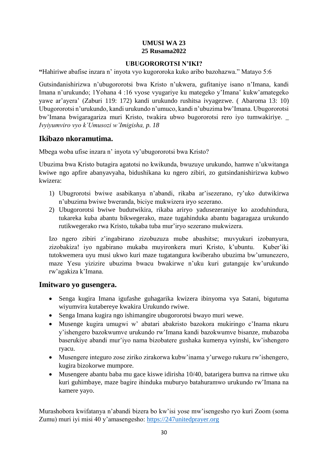### **UMUSI WA 23 25 Rusama2022**

#### **UBUGOROROTSI N'IKI?**

<span id="page-33-1"></span><span id="page-33-0"></span>**"**Hahiriwe abafise inzara n' inyota vyo kugororoka kuko aribo bazohazwa." Matayo 5:6

Gutsindanishirizwa n'ubugororotsi bwa Kristo n'ukwera, gufitaniye isano n'Imana, kandi Imana n'urukundo; 1Yohana 4 :16 vyose vyugariye ku mategeko y'Imana' kukw'amategeko yawe ar'ayera' (Zaburi 119: 172) kandi urukundo rushitsa ivyagezwe. ( Abaroma 13: 10) Ubugororotsi n'urukundo, kandi urukundo n'umuco, kandi n'ubuzima bw'Imana. Ubugororotsi bw'Imana bwigaragariza muri Kristo, twakira ubwo bugororotsi rero iyo tumwakiriye. \_ *Ivyiyumviro vyo k'Umusozi w'Imigisha, p. 18*

### **Ikibazo nkoramutima.**

Mbega woba ufise inzara n' inyota vy'ubugororotsi bwa Kristo?

Ubuzima bwa Kristo butagira agatotsi no kwikunda, bwuzuye urukundo, hamwe n'ukwitanga kwiwe ngo apfire abanyavyaha, bidushikana ku ngero zibiri, zo gutsindanishirizwa kubwo kwizera:

- 1) Ubugrorotsi bwiwe asabikanya n'abandi, rikaba ar'isezerano, ry'uko dutwikirwa n'ubuzima bwiwe bweranda, biciye mukwizera iryo sezerano.
- 2) Ubugororotsi bwiwe budutwikira, rikaba ariryo yadusezeraniye ko azoduhindura, tukareka kuba abantu bikwegerako, maze tugahinduka abantu bagaragaza urukundo rutikwegerako rwa Kristo, tukaba tuba mur'iryo sezerano mukwizera.

Izo ngero zibiri z'ingabirano zizobuzuza mube abashitse; muvyukuri izobanyura, zizobakiza! iyo ngabirano mukaba muyironkera muri Kristo, k'ubuntu. Kuber'iki tutokwemera uyu musi ukwo kuri maze tugatangura kwiberaho ubuzima bw'umunezero, maze Yesu yizizire ubuzima bwacu bwakirwe n'uku kuri gutangaje kw'urukundo rw'agakiza k'Imana.

### **Imitwaro yo gusengera.**

- Senga kugira Imana igufashe guhagarika kwizera ibinyoma vya Satani, bigutuma wiyumvira kutabereye kwakira Urukundo rwiwe.
- Senga Imana kugira ngo ishimangire ubugororotsi bwayo muri wewe.
- Musenge kugira umugwi w' abatari abakristo bazokora mukiringo c'Inama nkuru y'ishengero bazokwumve urukundo rw'Imana kandi bazokwumve bisanze, mubazoba baserukiye abandi mur'iyo nama bizobatere gushaka kumenya vyinshi, kw'ishengero ryacu.
- Musengere integuro zose ziriko zirakorwa kubw'inama y'urwego rukuru rw'ishengero, kugira bizokorwe mumpore.
- Musengere abantu baba mu gace kiswe idirisha 10/40, batarigera bumva na rimwe uku kuri guhimbaye, maze bagire ihinduka muburyo batahuramwo urukundo rw'Imana na kamere yayo.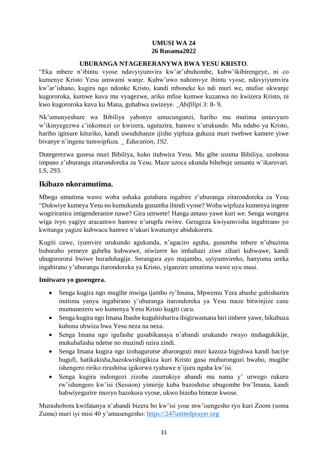#### **UMUSI WA 24 26 Rusama2022**

#### **UBURANGA NTAGERERANYWA BWA YESU KRISTO.**

<span id="page-34-1"></span><span id="page-34-0"></span>"Eka mbere n'ibintu vyose ndavyiyumvira kw'ar'ubuhombe, kubw'ikibirengeye, ni co kumenye Kristo Yesu umwami wanje. Kubw'uwo nahomvye ibintu vyose, ndavyiyumvira kw'ar'ishano, kugira ngo ndonke Kristo, kandi mboneke ko ndi muri we, ntafise ukwanje kugororoka, kumwe kuva mu vyagezwe, ariko mfise kumwe kuzanwa no kwizera Kristo, ni kwo kugororoka kuva ku Mana, guhabwa uwizeye*. \_Abifilipi 3:* 8- 9*.*

Nk'umunyeshure wa Bibiliya yabonye umucungunzi, hariho mu mutima umuvyuro w'ikinyegezwa c'inkomezi co kwizera, ugutazira, hamwe n'urukundo. Mu ndabo ya Kristo, hariho igitsure kituriko, kandi uwuduhanze ijisho yipfuza gukuza muri twebwe kamere yiwe bivanye n'ingene tumwipfuza. *\_ Education*, *192*.

Dutegerezwa gusesa muri Bibiliya, kuko itubwira Yesu. Mu gihe usoma Bibiliya, uzobona impano z'uburanga zitarondoreka za Yesu. Maze uzoca ukunda bihebuje umuntu w'ikaruvari. LS, 293.

### **Ikibazo nkoramutima.**

Mbega umutima wawe woba ushaka gutahura ingabire z'uburanga zitarondoreka za Yesu "Dukwiye kumeya Yesu no kumukunda gusumba ibindi vyose? Woba wipfuza kumenya ingene wogiriranira imigenderanire nawe? Gira umwete! Hanga amaso yawe kuri we. Senga wongera wiga ivyo yagiye aracamwo hamwe n'urupfu rwiwe. Gerageza kwiyumvisha ingabirano yo kwitanga yagize kubwacu hamwe n'ukuri kwatumye abidukorera.

Kugiti cawe, iyumvire urukundo agukunda, n'agaciro aguha, gusumba mbere n'ubuzima buhoraho yemeye guheba kubwawe, niwizere ko imbabazi ziwe zihari kubwawe, kandi ubugororotsi bwiwe buraduhagije. Serangura ayo majambo, uyiyumvireko, hanyuma ureka ingabirano y'uburanga itarondoreka ya Kristo, yiganzire umutima wawe uyu musi.

#### **Imitwaro yo gusengera.**

- Senga kugira ngo mugihe mwiga ijambo ry'Imana, Mpwemu Yera abashe guhishurira imitima yanyu ingabirano y'uburanga itarondoreka ya Yesu maze bitwinjize cane mumunezero wo kumenya Yesu Kristo kugiti cacu.
- Senga kugira ngo Imana Ibashe kuguhishurira ibigirwamana biri imbere yawe, bikubuza kubona ubwiza bwa Yesu neza na neza.
- Senga Imana ngo igufashe gusabikanaya n'abandi urukundo rwayo mubagukikije, mukubafasha ndetse no muzindi nzira zindi.
- Senga Imana kugira ngo izohagurutse abarongozi muri kazoza bigishwa kandi baciye bugufi, batikakisha,bazokwishigikiza kuri Kristo gusa muburongozi bwabo, mugihe ishengero ririko rirashitsa igikorwa ryahawe n'ijuru ngaha kw'isi.
- Senga kugira indongozi zizoba zaserukiye abandi mu nama y' urwego rukuru rw'ishengero kw'isi (Session) yimirije kuba bazoshitse ubugombe bw'Imana, kandi babwiyegurire muvyo bazokora vyose, ukwo bizoba bimeze kwose.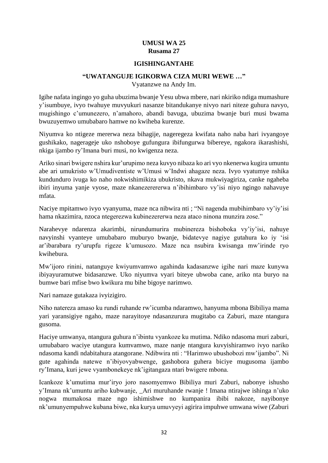#### **UMUSI WA 25 Rusama 27**

#### **IGISHINGANTAHE**

#### **"UWATANGUJE IGIKORWA CIZA MURI WEWE …"**

Vyatanzwe na Andy Im.

<span id="page-35-1"></span><span id="page-35-0"></span>Igihe nafata ingingo yo guha ubuzima bwanje Yesu ubwa mbere, nari nkiriko ndiga mumashure y'isumbuye, ivyo twahuye muvyukuri nasanze bitandukanye nivyo nari niteze guhura navyo, mugishingo c'umunezero, n'amahoro, abandi bavuga, ubuzima bwanje buri musi bwama bwuzuyemwo umubabaro hamwe no kwiheba kurenze.

Niyumva ko ntigeze mererwa neza bihagije, nageregeza kwifata naho naba hari ivyangoye gushikako, nagerageje uko nshoboye gufungura ibifungurwa bibereye, ngakora ikarashishi, nkiga ijambo ry'Imana buri musi, no kwigenza neza.

Ariko sinari bwigere nshira kur'urupimo neza kuvyo nibaza ko ari vyo nkenerwa kugira umuntu abe ari umukristo w'Umudiventiste w'Umusi w'Indwi ahagaze neza. Ivyo vyatumye nshika kundunduro ivuga ko naho nokwishimikiza ubukristo, nkava mukwiyagiriza, canke ngaheba ibiri inyuma yanje vyose, maze nkanezerererwa n'ibihimbaro vy'isi niyo ngingo nahavuye mfata.

Naciye mpitamwo ivyo vyanyuma, maze nca nibwira nti ; "Ni nagenda mubihimbaro vy'iy'isi hama nkazimira, nzoca ntegerezwa kubinezererwa neza ataco ninona munzira zose."

Narahevye ndarenza akarimbi, nirundumurira mubinereza bishoboka vy'iy'isi, nahuye navyinshi vyanteye umubabaro muburyo bwanje, bidatevye nagiye gutahura ko iy 'isi ar'ibarabara ry'urupfu rigeze k'umusozo. Maze nca nsubira kwisanga mw'irinde ryo kwihebura.

Mw'ijoro rinini, natanguye kwiyumvamwo agahinda kadasanzwe igihe nari maze kunywa ibiyayuramutwe bidasanzwe. Uko niyumva vyari biteye ubwoba cane, ariko nta buryo na bumwe bari mfise bwo kwikura mu bihe bigoye narimwo.

Nari namaze gutakaza ivyizigiro.

Niho natereza amaso ku rundi ruhande rw'icumba ndaramwo, hanyuma mbona Bibiliya mama yari yaransigiye ngaho, maze narayitoye ndasanzurura mugitabo ca Zaburi, maze ntangura gusoma.

Haciye umwanya, ntangura guhura n'ibintu vyankoze ku mutima. Ndiko ndasoma muri zaburi, umubabaro waciye utangura kumvamwo, maze nanje ntangura kuvyishiramwo ivyo nariko ndasoma kandi ndabitahura atangorane. Ndibwira nti : "Harimwo ubushobozi mw'ijambo". Ni gute agahinda natewe n'ibiyovyabwenge, gashobora guhera biciye mugusoma ijambo ry'Imana, kuri jewe vyambonekeye nk'igitangaza ntari bwigere mbona.

Icankoze k'umutima mur'iryo joro nasomyemwo Bibiliya muri Zaburi, nabonye ishusho y'Imana nk'umuntu ariho kubwanje, \_Ari muruhande rwanje ! Imana ntirajwe ishinga n'uko nogwa mumakosa maze ngo ishimishwe no kumpanira ibibi nakoze, nayibonye nk'umunyempuhwe kubana biwe, nka kurya umuvyeyi agirira impuhwe umwana wiwe (Zaburi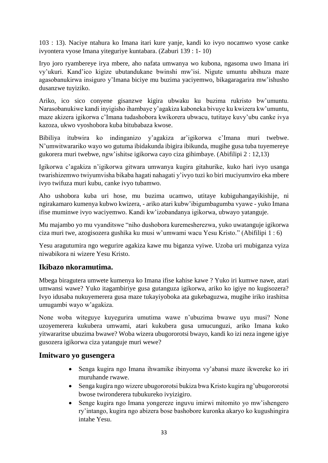103 : 13). Naciye ntahura ko Imana itari kure yanje, kandi ko ivyo nocamwo vyose canke ivyontera vyose Imana yiteguriye kuntabara. (Zaburi 139 : 1- 10)

Iryo joro ryambereye irya mbere, aho nafata umwanya wo kubona, ngasoma uwo Imana iri vy'ukuri. Kand'ico kigize ubutandukane bwinshi mw'isi. Nigute umuntu abihuza maze agasobanukirwa insiguro y'Imana biciye mu buzima yaciyemwo, bikagaragarira mw'ishusho dusanzwe tuyiziko.

Ariko, ico sico conyene gisanzwe kigira ubwaku ku buzima rukristo bw'umuntu. Narasobanukiwe kandi inyigisho ihambaye y'agakiza kaboneka bivuye ku kwizera kw'umuntu, maze akizera igikorwa c'Imana tudashobora kwikorera ubwacu, tutitaye kuvy'ubu canke ivya kazoza, ukwo vyoshobora kuba bitubabaza kwose.

Bibiliya itubwira ko indinganizo y'agakiza ar'igikorwa c'Imana muri twebwe. N'umwitwarariko wayo wo gutuma ibidakunda ibigira ibikunda, mugihe gusa tuba tuyemereye gukorera muri twebwe, ngw'ishitse igikorwa cayo ciza gihimbaye. (Abifilipi 2 : 12,13)

Igikorwa c'agakiza n'igikorwa gitwara umwanya kugira gitahurike, kuko hari ivyo usanga twarishizemwo twiyumvisha bikaba hagati nahagati y'ivyo tuzi ko biri muciyumviro eka mbere ivyo twifuza muri kubu, canke ivyo tubamwo.

Aho ushobora kuba uri hose, mu buzima ucamwo, utitaye kubiguhangayikishije, ni ngirakamaro kumenya kubwo kwizera, - ariko atari kubw'ibigumbagumba vyawe - yuko Imana ifise muminwe ivyo waciyemwo. Kandi kw'izobandanya igikorwa, ubwayo yatanguje.

Mu majambo yo mu vyanditswe "niho dushobora kuremesherezwa, yuko uwatanguje igikorwa ciza muri twe, azogisozera gushika ku musi w'umwami wacu Yesu Kristo." (Abifilipi 1 : 6)

Yesu aragutumira ngo wegurire agakiza kawe mu biganza vyiwe. Uzoba uri mubiganza vyiza niwabikora ni wizere Yesu Kristo.

### **Ikibazo nkoramutima.**

Mbega biragutera umwete kumenya ko Imana ifise kahise kawe ? Yuko iri kumwe nawe, atari umwansi wawe? Yuko itagambiriye gusa gutanguza igikorwa, ariko ko igiye no kugisozera? Ivyo idusaba nukuyemerera gusa maze tukayiyoboka ata gukebaguzwa, mugihe iriko irashitsa umugambi wayo w'agakiza.

None woba witeguye kuyegurira umutima wawe n'ubuzima bwawe uyu musi? None uzoyemerera kukubera umwami, atari kukubera gusa umucunguzi, ariko Imana kuko yitwararitse ubuzima bwawe? Woba wizera ubugororotsi bwayo, kandi ko izi neza ingene igiye gusozera igikorwa ciza yatanguje muri wewe?

### **Imitwaro yo gusengera**

- Senga kugira ngo Imana ihwamike ibinyoma vy'abansi maze ikwereke ko iri muruhande rwawe.
- Senga kugira ngo wizere ubugororotsi bukiza bwa Kristo kugira ng'ubugororotsi bwose twironderera tubukureko ivyizigiro.
- Senge kugira ngo Imana yongereze inguvu imirwi mitomito yo mw'ishengero ry'intango, kugira ngo abizera bose bashobore kuronka akaryo ko kugushingira intahe Yesu.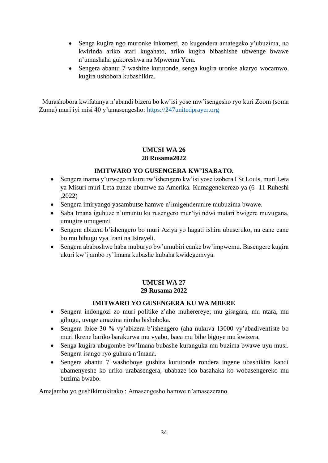- Senga kugira ngo muronke inkomezi, zo kugendera amategeko y'ubuzima, no kwirinda ariko atari kugahato, ariko kugira bibashishe ubwenge bwawe n'umushaha gukoreshwa na Mpwemu Yera.
- Sengera abantu 7 washize kurutonde, senga kugira uronke akaryo wocamwo, kugira ushobora kubashikira.

 Murashobora kwifatanya n'abandi bizera bo kw'isi yose mw'isengesho ryo kuri Zoom (soma Zumu) muri iyi misi 40 y'amasengesho: [https://247unitedprayer.org](https://247unitedprayer.org/)

#### **UMUSI WA 26 28 Rusama2022**

### **IMITWARO YO GUSENGERA KW'ISABATO.**

- <span id="page-37-1"></span><span id="page-37-0"></span> Sengera inama y'urwego rukuru rw'ishengero kw'isi yose izobera I St Louis, muri Leta ya Misuri muri Leta zunze ubumwe za Amerika. Kumagenekerezo ya (6- 11 Ruheshi ,2022)
- Sengera imiryango yasambutse hamwe n'imigenderanire mubuzima bwawe.
- Saba Imana iguhuze n'umuntu ku rusengero mur'iyi ndwi mutari bwigere muvugana, umugire umugenzi.
- Sengera abizera b'ishengero bo muri Aziya yo hagati ishira ubuseruko, na cane cane bo mu bihugu vya Irani na Isirayeli.
- Sengera ababoshwe haba muburyo bw'umubiri canke bw'impwemu. Basengere kugira ukuri kw'ijambo ry'Imana kubashe kubaha kwidegemvya.

# **UMUSI WA 27 29 Rusama 2022**

### **IMITWARO YO GUSENGERA KU WA MBERE**

- <span id="page-37-3"></span><span id="page-37-2"></span> Sengera indongozi zo muri politike z'aho muherereye; mu gisagara, mu ntara, mu gihugu, uvuge amazina nimba bishoboka.
- Sengera ibice 30 % vy'abizera b'ishengero (aha nukuva 13000 vy'abadiventiste bo muri Ikrene bariko barakurwa mu vyabo, baca mu bihe bigoye mu kwizera.
- Senga kugira ubugombe bw'Imana bubashe kuranguka mu buzima bwawe uyu musi. Sengera isango ryo guhura n'Imana.
- Sengera abantu 7 washoboye gushira kurutonde rondera ingene ubashikira kandi ubamenyeshe ko uriko urabasengera, ubabaze ico basahaka ko wobasengereko mu buzima bwabo.

Amajambo yo gushikimukirako : Amasengesho hamwe n'amasezerano.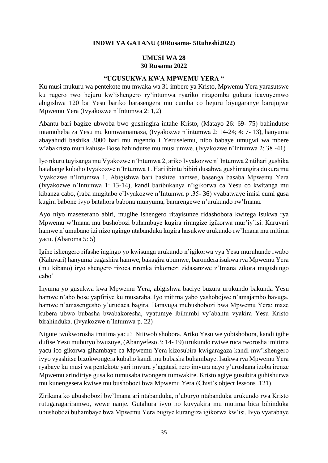#### **INDWI YA GATANU (30Rusama- 5Ruheshi2022)**

#### **UMUSI WA 28 30 Rusama 2022**

#### **"UGUSUKWA KWA MPWEMU YERA "**

<span id="page-38-2"></span><span id="page-38-1"></span><span id="page-38-0"></span>Ku musi mukuru wa pentekote mu mwaka wa 31 imbere ya Kristo, Mpwemu Yera yarasutswe ku rugero rwo hejuru kw'ishengero ry'intumwa ryariko riragomba gukura icavuyemwo abigishwa 120 ba Yesu bariko barasengera mu cumba co hejuru biyugaranye barujujwe Mpwemu Yera (Ivyakozwe n'Intumwa 2: 1,2)

Abantu bari bagize ubwoba bwo gushingira intahe Kristo, (Matayo 26: 69- 75) bahindutse intamuheba za Yesu mu kumwamamaza, (Ivyakozwe n'intumwa 2: 14-24; 4: 7- 13), hanyuma abayahudi bashika 3000 bari mu rugendo I Yeruselemu, nibo babaye umugwi wa mbere w'abakristo muri kahise- Bose bahindutse mu musi umwe. (Ivyakozwe n'Intumwa 2: 38 -41)

Iyo nkuru tuyisanga mu Vyakozwe n'Intumwa 2, ariko Ivyakozwe n' Intumwa 2 ntihari gushika hatabanje kubaho Ivyakozwe n'Intumwa 1. Hari ibintu bibiri dusabwa gushimangira dukura mu Vyakozwe n'Intumwa 1. Abigishwa bari bashize hamwe, basenga basaba Mpwemu Yera (Ivyakozwe n'Intumwa 1: 13-14), kandi baribukanya n'igikorwa ca Yesu co kwitanga mu kibanza cabo, (raba mugitabo c'Ivyakozwe n'Intumwa p .35- 36) vyabatwaye imisi cumi gusa kugira babone ivyo batahora babona munyuma, bararengewe n'urukundo rw'Imana.

Ayo niyo masezerano abiri, mugihe ishengero ritayisunze ridashobora kwitega isukwa rya Mpwemu w'Imana mu bushobozi buhambaye kugira rirangize igikorwa mur'iy'isi: Karuvari hamwe n'umubano izi nizo ngingo ntabanduka kugira hasukwe urukundo rw'Imana mu mitima yacu. (Abaroma 5: 5)

Igihe ishengero rifashe ingingo yo kwisunga urukundo n'igikorwa vya Yesu muruhande rwabo (Kaluvari) hanyuma bagashira hamwe, bakagira ubumwe, barondera isukwa rya Mpwemu Yera (mu kibano) iryo shengero rizoca rironka inkomezi zidasanzwe z'Imana zikora mugishingo cabo'

Inyuma yo gusukwa kwa Mpwemu Yera, abigishwa baciye buzura urukundo bakunda Yesu hamwe n'abo bose yapfiriye ku musaraba. Iyo mitima yabo yashobojwe n'amajambo bavuga, hamwe n'amasengesho y'urudaca bagira. Baravuga mubushobozi bwa Mpwemu Yera; maze kubera ubwo bubasha bwabakoresha, vyatumye ibihumbi vy'abantu vyakira Yesu Kristo birahinduka. (Ivyakozwe n'Intumwa p. 22)

Nigute twokworosha imitima yacu? Ntitwobishobora. Ariko Yesu we yobishobora, kandi igihe dufise Yesu muburyo bwuzuye, (Abanyefeso 3: 14- 19) urukundo rwiwe ruca rworosha imitima yacu ico gikorwa gihambaye ca Mpwemu Yera kizosubira kwigaragaza kandi mw'ishengero ivyo vyashitse bizokwongera kubaho kandi mu bubasha buhambaye. Isukwa rya Mpwemu Yera ryabaye ku musi wa pentekote yari imvura y'agatasi, rero imvura nayo y'urushana izoba irenze Mpwemu arindiriye gusa ko tumusaba twongera tumwakire. Kristo agiye gusubira guhishurwa mu kunengesera kwiwe mu bushobozi bwa Mpwemu Yera (Chist's object lessons .121)

Zirikana ko ubushobozi bw'Imana ari ntabanduka, n'uburyo ntabanduka urukundo rwa Kristo rutugaragariramwo, wewe nanje. Gutahura ivyo no kuvyakira mu mutima bica bihinduka ubushobozi buhambaye bwa Mpwemu Yera bugiye kurangiza igikorwa kw'isi. Ivyo vyarabaye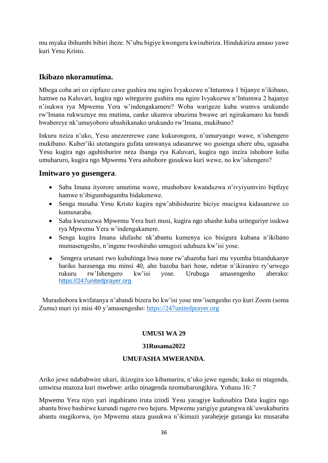mu myaka ibihumbi bibiri iheze. N'ubu bigiye kwongera kwisubiriza. Hindukiriza amaso yawe kuri Yesu Kristo.

## **Ikibazo nkoramutima.**

Mbega coba ari co cipfuzo cawe gushira mu ngiro Ivyakozwe n'Intumwa 1 bijanye n'ikibano, hamwe na Kaluvari, kugira ngo witegurire gushira mu ngiro Ivyakozwe n'Intumwa 2 hajanye n'isukwa rya Mpwemu Yera w'indengakamere? Woba warigeze kuba wumva urukundo rw'Imana rukwuzuye mu mutima, canke ukumva ubuzima bwawe ari ngirakamaro ku bandi bwabereye nk'umuyoboro ubashikanako urukundo rw'Imana, mukibano?

Inkuru nziza n'uko, Yesu anezererewe cane kukurongora, n'umuryango wawe, n'ishengero mukibano. Kuber'iki utotangura gufata umwanya udasanzwe wo gusenga uhere ubu, ugasaba Yesu kugira ngo aguhishurire neza ibanga rya Kaluvari, kugira ngo inzira ishobore kuba umuharuro, kugira ngo Mpwemu Yera ashobore gusukwa kuri wewe, no kw'ishengero?

### **Imitwaro yo gusengera**.

- Saba Imana ityorore umutima wawe, ntushobore kwanduzwa n'ivyiyumviro bipfuye hamwe n'ibigumbagumba bidakenewe.
- Senga musaba Yesu Kristo kugira ngw'abihishurire biciye mucigwa kidasanzwe co kumusaraba.
- Saba kwuzuzwa Mpwemu Yera buri musi, kugira ngo ubashe kuba uriteguriye isukwa rya Mpwemu Yera w'indengakamere.
- Senga kugira Imana idufashe nk'abantu kumenya ico bisigura kubana n'ikibano mumasengesho, n'ingene twoshiraho umugozi uduhuza kw'isi yose.
- Sengera urunani rwo kubuhinga bwa none rw'abazoba bari mu vyumba bitandukanye bariko barasenga mu minsi 40, aho bazoba bari hose, ndetse n'ikiraniro ry'urwego rukuru rw'Ishengero kw'isi yose. Urubuga amasengesho aberako: [https://247unitedprayer.org](https://247unitedprayer.org/)

 Murashobora kwifatanya n'abandi bizera bo kw'isi yose mw'isengesho ryo kuri Zoom (soma Zumu) muri iyi misi 40 y'amasengesho: [https://247unitedprayer.org](https://247unitedprayer.org/)

### **UMUSI WA 29**

#### **31Rusama2022**

#### **UMUFASHA MWERANDA.**

<span id="page-39-0"></span>Ariko jewe ndababwire ukuri, ikizogira ico kibamarira, n'uko jewe ngenda; kuko ni ntagenda, umwitsa ntazoza kuri mwebwe: ariko ninagenda nzomubarungikira. Yohana 16: 7

Mpwemu Yera niyo yari ingabirano iruta izindi Yesu yaragiye kudusabira Data kugira ngo abantu biwe bashirwe kurundi rugero rwo hejuru. Mpwemu yarigiye gutangwa nk'uwukaburira abantu mugikorwa, iyo Mpwemu ataza gusukwa n'ikimazi yarahejeje gutanga ku musaraba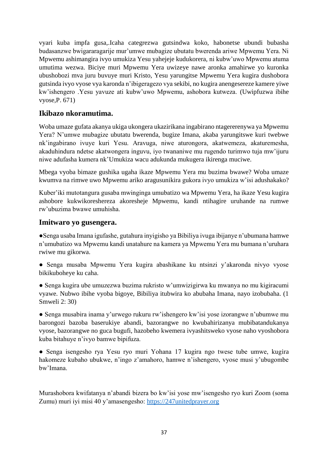vyari kuba impfa gusa,.Icaha categrezwa gutsindwa koko, habonetse ubundi bubasha budasanzwe bwigararagarije mur'umwe mubagize ubutatu bwerenda ariwe Mpwemu Yera. Ni Mpwemu ashimangira ivyo umukiza Yesu yahejeje kudukorera, ni kubw'uwo Mpwemu atuma umutima wezwa. Biciye muri Mpwemu Yera uwizeye nawe aronka amahirwe yo kuronka ubushobozi mva juru buvuye muri Kristo, Yesu yarungitse Mpwemu Yera kugira dushobora gutsinda ivyo vyose vya karonda n'ibigeragezo vya sekibi, no kugira anengesereze kamere yiwe kw'ishengero .Yesu yavuze ati kubw'uwo Mpwemu, ashobora kutweza. (Uwipfuzwa ibihe vyose,P. 671)

### **Ikibazo nkoramutima.**

Woba umaze gufata akanya ukiga ukongera ukazirikana ingabirano ntagererenywa ya Mpwemu Yera? N'umwe mubagize ubutatu bwerenda, bugize Imana, akaba yarungitswe kuri twebwe nk'ingabirano ivuye kuri Yesu. Aravuga, niwe aturongora, akatwemeza, akaturemesha, akaduhindura ndetse akatwongera inguvu, iyo twananiwe mu rugendo turimwo tuja mw'ijuru niwe adufasha kumera nk'Umukiza wacu adukunda mukugera ikirenga muciwe.

Mbega vyoba bimaze gushika ugaha ikaze Mpwemu Yera mu buzima bwawe? Woba umaze kwumva na rimwe uwo Mpwemu ariko aragusunikira gukora ivyo umukiza w'isi adushakako?

Kuber'iki mutotangura gusaba mwinginga umubatizo wa Mpwemu Yera, ha ikaze Yesu kugira ashobore kukwikoreshereza akoresheje Mpwemu, kandi ntihagire uruhande na rumwe rw'ubuzima bwawe umuhisha.

### **Imitwaro yo gusengera.**

●Senga usaba Imana igufashe, gutahura inyigisho ya Bibiliya ivuga ibijanye n'ubumana hamwe n'umubatizo wa Mpwemu kandi unatahure na kamera ya Mpwemu Yera mu bumana n'uruhara rwiwe mu gikorwa.

- Senga musaba Mpwemu Yera kugira abashikane ku ntsinzi y'akaronda nivyo vyose bikikuboheye ku caha.
- Senga kugira ube umuzezwa buzima rukristo w'umwizigirwa ku mwanya no mu kigiracumi vyawe. Nubwo ibihe vyoba bigoye, Bibiliya itubwira ko abubaha Imana, nayo izobubaha. (1 Smweli 2: 30)

● Senga musabira inama y'urwego rukuru rw'ishengero kw'isi yose izorangwe n'ubumwe mu barongozi bazoba baserukiye abandi, bazorangwe no kwubahirizanya mubibatandukanya vyose, bazorangwe no guca bugufi, hazobeho kwemera ivyashitsweko vyose naho vyoshobora kuba bitahuye n'ivyo bamwe bipifuza.

● Senga isengesho rya Yesu ryo muri Yohana 17 kugira ngo twese tube umwe, kugira hakomeze kubaho ubukwe, n'ingo z'amahoro, hamwe n'ishengero, vyose musi y'ubugombe bw'Imana.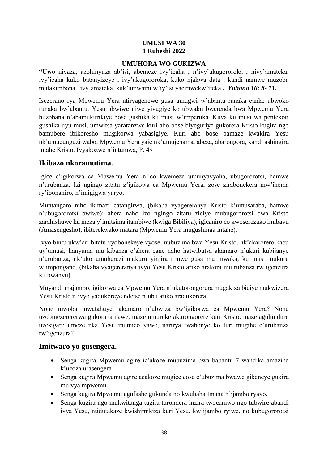#### **UMUSI WA 30 1 Ruheshi 2022**

#### **UMUHORA WO GUKIZWA**

<span id="page-41-1"></span><span id="page-41-0"></span>**"Uwo** niyaza, azohinyuza ab'isi, abemeze ivy'icaha , n'ivy'ukugororoka , nivy'amateka, ivy'icaha kuko batanyizeye , ivy'ukugororoka, kuko njakwa data , kandi namwe muzoba mutakimbona , ivy'amateka, kuk'umwami w'iy'isi yaciriwekw'iteka **.** *Yohana 16: 8- 11***.**

Isezerano rya Mpwemu Yera ntiryagenewe gusa umugwi w'abantu runaka canke ubwoko runaka bw'abantu. Yesu ubwiwe niwe yivugiye ko ubwaku bwerenda bwa Mpwemu Yera buzobana n'abamukurikiye bose gushika ku musi w'imperuka. Kuva ku musi wa pentekoti gushika uyu musi, umwitsa yaratanzwe kuri abo bose biyeguriye gukorera Kristo kugira ngo bamubere ibikoresho mugikorwa yabasigiye. Kuri abo bose bamaze kwakira Yesu nk'umucunguzi wabo, Mpwemu Yera yaje nk'umujenama, abeza, abarongora, kandi ashingira intahe Kristo. Ivyakozwe n'intumwa, P. 49

### **Ikibazo nkoramutima.**

Igice c'igikorwa ca Mpwemu Yera n'ico kwemeza umunyavyaha, ubugororotsi, hamwe n'urubanza. Izi ngingo zitatu z'igikowa ca Mpwemu Yera, zose zirabonekera mw'ihema ry'ibonaniro, n'imigigwa yaryo.

Muntangaro niho ikimazi catangirwa, (bikaba vyagereranya Kristo k'umusaraba, hamwe n'ubugororotsi bwiwe); ahera naho izo ngingo zitatu ziciye mubugororotsi bwa Kristo zarahishuwe ku meza y'imitsima itambiwe (kwiga Bibiliya), igicaniro co kwoserezako imibavu (Amasengesho), ibiterekwako matara (Mpwemu Yera mugushinga intahe).

Ivyo bintu ukw'ari bitatu vyobonekeye vyose mubuzima bwa Yesu Kristo, nk'akarorero kacu uy'umusi; hanyuma mu kibanza c'ahera cane naho hatwibutsa akamaro n'ukuri kubijanye n'urubanza, nk'uko umuherezi mukuru yinjira rimwe gusa mu mwaka, ku musi mukuru w'impongano, (bikaba vyagereranya ivyo Yesu Kristo ariko arakora mu rubanza rw'igenzura ku bwanyu)

Muyandi majambo; igikorwa ca Mpwemu Yera n'ukutorongorera mugakiza biciye mukwizera Yesu Kristo n'ivyo yadukoreye ndetse n'ubu ariko aradukorera.

None mwoba mwatahuye, akamaro n'ubwiza bw'igikorwa ca Mpwemu Yera? None uzobinezerererwa gukorana nawe, maze umureke akurongorere kuri Kristo, maze aguhindure uzosigare umeze nka Yesu mumico yawe, narirya twabonye ko turi mugihe c'urubanza rw'igenzura?

### **Imitwaro yo gusengera.**

- Senga kugira Mpwemu agire ic'akoze mubuzima bwa babantu 7 wandika amazina k'uzoza urasengera
- Senga kugira Mpwemu agire acakoze mugice cose c'ubuzima bwawe gikeneye gukira mu vya mpwemu.
- Senga kugira Mpwemu agufashe gukunda no kwubaha Imana n'ijambo ryayo.
- Senga kugira ngo mukwitanga tugira turondera inzira twocamwo ngo tubwire abandi ivya Yesu, ntidutakaze kwishimikiza kuri Yesu, kw'ijambo ryiwe, no kubugororotsi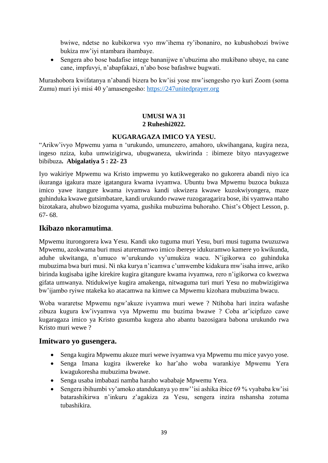bwiwe, ndetse no kubikorwa vyo mw'ihema ry'ibonaniro, no kubushobozi bwiwe bukiza mw'iyi ntambara ihambaye.

 Sengera abo bose badafise intege bananijwe n'ubuzima aho mukibano ubaye, na cane cane, impfuvyi, n'abapfakazi, n'abo bose bafashwe bugwati.

Murashobora kwifatanya n'abandi bizera bo kw'isi yose mw'isengesho ryo kuri Zoom (soma Zumu) muri iyi misi 40 y'amasengesho: [https://247unitedprayer.org](https://247unitedprayer.org/)

#### **UMUSI WA 31 2 Ruheshi2022.**

#### **KUGARAGAZA IMICO YA YESU.**

<span id="page-42-1"></span><span id="page-42-0"></span>"Arikw'ivyo Mpwemu yama n 'urukundo, umunezero, amahoro, ukwihangana, kugira neza, ingeso nziza, kuba umwizigirwa, ubugwaneza, ukwirinda : ibimeze bityo ntavyagezwe bibibuza**. Abigalatiya 5 : 22- 23** 

Iyo wakiriye Mpwemu wa Kristo impwemu yo kutikwegerako no gukorera abandi niyo ica ikuranga igakura maze igatangura kwama ivyamwa. Ubuntu bwa Mpwemu buzoca bukuza imico yawe itangure kwama ivyamwa kandi ukwizera kwawe kuzokwiyongera, maze guhinduka kwawe gutsimbatare, kandi urukundo rwawe ruzogaragarira bose, ibi vyamwa ntaho bizotakara, ahubwo bizoguma vyama, gushika mubuzima buhoraho. Chist's Object Lesson, p. 67- 68.

#### **Ikibazo nkoramutima**.

Mpwemu iturongorera kwa Yesu. Kandi uko tuguma muri Yesu, buri musi tuguma twuzuzwa Mpwemu, azokwama buri musi aturemamwo imico ibereye idukuramwo kamere yo kwikunda, aduhe ukwitanga, n'umuco w'urukundo vy'umukiza wacu. N'igikorwa co guhinduka mubuzima bwa buri musi. Ni nka kurya n'icamwa c'umwembe kidakura mw'isaha imwe, ariko birinda kugisaba igihe kirekire kugira gitangure kwama ivyamwa, rero n'igikorwa co kwezwa gifata umwanya. Ntidukwiye kugira amakenga, nitwaguma turi muri Yesu no mubwizigirwa bw'ijambo ryiwe ntakeka ko atacamwa na kimwe ca Mpwemu kizohara mubuzima bwacu.

Woba wararetse Mpwemu ngw'akuze ivyamwa muri wewe ? Ntihoba hari inzira wafashe zibuza kugura kw'ivyamwa vya Mpwemu mu buzima bwawe ? Coba ar'icipfuzo cawe kugaragaza imico ya Kristo gusumba kugeza aho abantu bazosigara babona urukundo rwa Kristo muri wewe ?

#### **Imitwaro yo gusengera.**

- Senga kugira Mpwemu akuze muri wewe ivyamwa vya Mpwemu mu mice yavyo yose.
- Senga Imana kugira ikwereke ko har'aho woba warankiye Mpwemu Yera kwagukoresha mubuzima bwawe.
- Senga usaba imbabazi namba haraho wababaje Mpwemu Yera.
- Sengera ibihumbi vy'amoko atandukanya yo mw''isi ashika ibice 69 % vyababa kw'isi batarashikirwa n'inkuru z'agakiza za Yesu, sengera inzira nshansha zotuma tubashikira.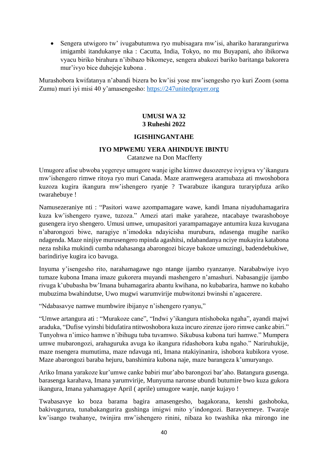Sengera utwigoro tw' ivugabutumwa ryo mubisagara mw'isi, ahariko hararangurirwa imigambi itandukanye nka : Cacutta, India, Tokyo, no mu Buyapani, aho ibikorwa vyacu biriko birahura n'ibibazo bikomeye, sengera abakozi bariko baritanga bakorera mur'ivyo bice duhejeje kubona .

<span id="page-43-0"></span>Murashobora kwifatanya n'abandi bizera bo kw'isi yose mw'isengesho ryo kuri Zoom (soma Zumu) muri iyi misi 40 y'amasengesho: [https://247unitedprayer.org](https://247unitedprayer.org/)

### **UMUSI WA 32 3 Ruheshi 2022**

#### **IGISHINGANTAHE**

#### **IYO MPWEMU YERA AHINDUYE IBINTU** Catanzwe na Don Macfferty

<span id="page-43-1"></span>Umugore afise ubwoba yegereye umugore wanje igihe kimwe dusozereye ivyigwa vy'ikangura mw'ishengero rimwe ritoya ryo muri Canada. Maze aramwegera aramubaza ati mwoshobora kuzoza kugira ikangura mw'ishengero ryanje ? Twarabuze ikangura turaryipfuza ariko twarahebuye !

Namusezeraniye nti : "Pasitori wawe azompamagare wawe, kandi Imana niyaduhamagarira kuza kw'ishengero ryawe, tuzoza." Amezi atari make yaraheze, ntacabaye twarashoboye gusengera iryo shengero. Umusi umwe, umupasitori yarampamagaye antumira kuza kuvugana n'abarongozi biwe, naragiye n'imodoka ndayicisha murubura, ndasenga mugihe nariko ndagenda. Maze ninjiye murusengero mpinda agashitsi, ndabandanya nciye mukayira katabona neza nshika mukindi cumba ndahasanga abarongozi bicaye bakoze umuzingi, badendebukiwe, barindiriye kugira ico bavuga.

Inyuma y'isengesho rito, narahamagawe ngo ntange ijambo ryanzanye. Narababwiye ivyo tumaze kubona Imana imaze gukorera muyandi mashengero n'amashuri. Nabasangije ijambo rivuga k'ububasha bw'Imana buhamagarira abantu kwihana, no kubabarira, hamwe no kubaho mubuzima bwahindutse, Uwo mugwi warumvirije mubwitonzi bwinshi n'agacerere.

"Ndabasavye namwe mumbwire ibijanye n'ishengero ryanyu,"

"Umwe artangura ati : "Murakoze cane", "Indwi y'ikangura ntishoboka ngaha", ayandi majwi araduka, "Dufise vyinshi bidufatira ntitwoshobora kuza incuro zirenze ijoro rimwe canke abiri." Tunyohwa n'imico hamwe n'ibihugu tuba tuvamwo. Sikubusa kubona turi hamwe." Mumpera umwe mubarongozi, arahaguruka avuga ko ikangura ridashobora kuba ngaho." Nariruhukije, maze nsengera mumutima, maze ndavuga nti, Imana ntakiyinanira, ishobora kubikora vyose. Maze abarongozi baraba hejuru, banshimira kubona naje, maze barangeza k'umuryango.

Ariko Imana yarakoze kur'umwe canke babiri mur'abo barongozi bar'aho. Batangura gusenga. barasenga karahava, Imana yarumvirije, Munyuma naronse ubundi butumire bwo kuza gukora ikangura, Imana yahamagaye April ( aprile) umugore wanje, nanje kujayo !

Twabasavye ko boza barama bagira amasengesho, bagakorana, kenshi gashoboka, bakivugurura, tunabakangurira gushinga imigwi mito y'indongozi. Baravyemeye. Twaraje kw'isango twahanye, twinjira mw'ishengero rinini, nibaza ko twashika nka mirongo ine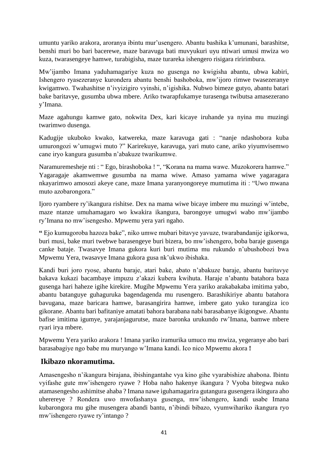umuntu yariko arakora, aroranya ibintu mur'usengero. Abantu bashika k'umunani, barashitse, benshi muri bo bari bacerewe, maze baravuga bati muvyukuri uyu ntiwari umusi mwiza wo kuza, twarasengeye hamwe, turabigisha, maze turareka ishengero risigara riririmbura.

Mw'ijambo Imana yaduhamagariye kuza no gusenga no kwigisha abantu, ubwa kabiri, Ishengero ryasezeranye kurondera abantu benshi bashoboka, mw'ijoro rimwe twasezeranye kwigamwo. Twahashitse n'ivyizigiro vyinshi, n'igishika. Nubwo bimeze gutyo, abantu batari bake baritavye, gusumba ubwa mbere. Ariko twarapfukamye turasenga twibutsa amasezerano y'Imana.

Maze agahungu kamwe gato, nokwita Dex, kari kicaye iruhande ya nyina mu muzingi twarimwo dusenga.

Kadugije ukuboko kwako, katwereka, maze karavuga gati : "nanje ndashobora kuba umurongozi w'umugwi muto ?" Karirekuye, karavuga, yari muto cane, ariko yiyumvisemwo cane iryo kangura gusumba n'abakuze twarikumwe.

Naramuremesheje nti : " Ego, birashoboka ! ", "Korana na mama wawe. Muzokorera hamwe." Yagaragaje akamwemwe gusumba na mama wiwe. Amaso yamama wiwe yagaragara nkayarimwo amosozi akeye cane, maze Imana yaranyongoreye mumutima iti : "Uwo mwana muto azobarongora."

Ijoro ryambere ry'ikangura rishitse. Dex na mama wiwe bicaye imbere mu muzingi w'intebe, maze ntanze umuhamagaro wo kwakira ikangura, barongoye umugwi wabo mw'ijambo ry'Imana no mw'isengesho. Mpwemu yera yari ngaho.

**"** Ejo kumugoroba hazoza bake", niko umwe mubari bitavye yavuze, twarabandanije igikorwa, buri musi, bake muri twebwe barasengeye buri bizera, bo mw'ishengero, boba baraje gusenga canke bataje. Twasavye Imana gukora kuri buri mutima mu rukundo n'ubushobozi bwa Mpwemu Yera, twasavye Imana gukora gusa nk'ukwo ibishaka.

Kandi buri joro ryose, abantu baraje, atari bake, abato n'abakuze baraje, abantu baritavye bakava kukazi bacambaye impuzu z'akazi kubera kwihuta. Haraje n'abantu batahora baza gusenga hari haheze igihe kirekire. Mugihe Mpwemu Yera yariko arakabakaba imitima yabo, abantu batanguye guhaguruka bagendagenda mu rusengero. Barashikiriye abantu batahora bavugana, maze baricara hamwe, barasangirira hamwe, imbere gato yuko turangiza ico gikorane. Abantu bari bafitaniye amatati bahora barabana nabi barasabanye ikigongwe. Abantu bafise imitima igumye, yarajanjagurutse, maze baronka urukundo rw'Imana, bamwe mbere ryari irya mbere.

Mpwemu Yera yariko arakora ! Imana yariko iramurika umuco mu mwiza, yegeranye abo bari barasabagiye ngo babe mu muryango w'Imana kandi. Ico nico Mpwemu akora **!**

# **Ikibazo nkoramutima.**

Amasengesho n'ikangura birajana, ibishingantahe vya kino gihe vyarabishize ahabona. Ibintu vyifashe gute mw'ishengero ryawe ? Hoba naho hakenye ikangura ? Vyoba bitegwa nuko atamasengesho ashimitse ahaba ? Imana nawe iguhamagarira gutangura gusengera ikingura aho uherereye ? Rondera uwo mwofashanya gusenga, mw'ishengero, kandi usabe Imana kubarongora mu gihe musengera abandi bantu, n'ibindi bibazo, vyumwihariko ikangura ryo mw'ishengero ryawe ry'intango ?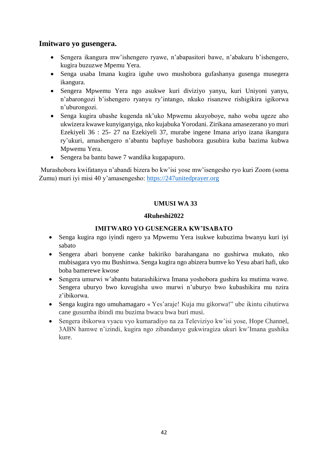### **Imitwaro yo gusengera.**

- Sengera ikangura mw'ishengero ryawe, n'abapasitori bawe, n'abakuru b'ishengero, kugira buzuzwe Mpemu Yera.
- Senga usaba Imana kugira iguhe uwo mushobora gufashanya gusenga musegera ikangura.
- Sengera Mpwemu Yera ngo asukwe kuri diviziyo yanyu, kuri Uniyoni yanyu, n'abarongozi b'ishengero ryanyu ry'intango, nkuko risanzwe rishigikira igikorwa n'uburongozi.
- Senga kugira ubashe kugenda nk'uko Mpwemu akuyoboye, naho woba ugeze aho ukwizera kwawe kunyiganyiga, nko kujabuka Yorodani. Zirikana amasezerano yo muri Ezekiyeli 36 : 25- 27 na Ezekiyeli 37, murabe ingene Imana ariyo izana ikangura ry'ukuri, amashengero n'abantu bapfuye bashobora gusubira kuba bazima kubwa Mpwemu Yera.
- Sengera ba bantu bawe 7 wandika kugapapuro.

Murashobora kwifatanya n'abandi bizera bo kw'isi yose mw'isengesho ryo kuri Zoom (soma Zumu) muri iyi misi 40 y'amasengesho: [https://247unitedprayer.org](https://247unitedprayer.org/)

### **UMUSI WA 33**

#### **4Ruheshi2022**

### **IMITWARO YO GUSENGERA KW'ISABATO**

- <span id="page-45-0"></span> Senga kugira ngo iyindi ngero ya Mpwemu Yera isukwe kubuzima bwanyu kuri iyi sabato
- Sengera abari bonyene canke bakiriko barahangana no gushirwa mukato, nko mubisagara vyo mu Bushinwa. Senga kugira ngo abizera bumve ko Yesu abari hafi, uko boba bamerewe kwose
- Sengera umurwi w'abantu batarashikirwa Imana yoshobora gushira ku mutima wawe. Sengera uburyo bwo kuvugisha uwo murwi n'uburyo bwo kubashikira mu nzira z'ibikorwa.
- Senga kugira ngo umuhamagaro « Yes'araje! Kuja mu gikorwa!" ube ikintu cihutirwa cane gusumba ibindi mu buzima bwacu bwa buri musi.
- Sengera ibikorwa vyacu vyo kumaradiyo na za Televiziyo kw'isi yose, Hope Channel, 3ABN hamwe n'izindi, kugira ngo zibandanye gukwiragiza ukuri kw'Imana gushika kure.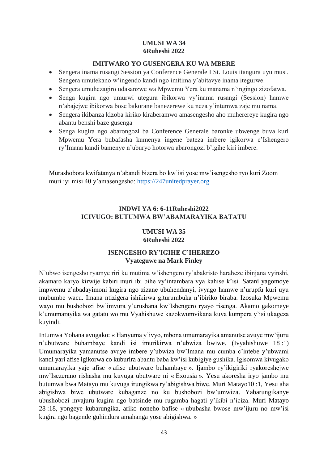#### **UMUSI WA 34 6Ruheshi 2022**

#### **IMITWARO YO GUSENGERA KU WA MBERE**

- <span id="page-46-1"></span><span id="page-46-0"></span> Sengera inama rusangi Session ya Conference Generale I St. Louis itangura uyu musi. Sengera umutekano w'ingendo kandi ngo imitima y'abitavye inama itegurwe.
- Sengera umuhezagiro udasanzwe wa Mpwemu Yera ku manama n'ingingo zizofatwa.
- Senga kugira ngo umurwi utegura ibikorwa vy'inama rusangi (Session) hamwe n'abajejwe ibikorwa bose bakorane banezerewe ku neza y'intumwa zaje mu nama.
- Sengera ikibanza kizoba kiriko kiraberamwo amasengesho aho muherereye kugira ngo abantu benshi baze gusenga
- Senga kugira ngo abarongozi ba Conference Generale baronke ubwenge buva kuri Mpwemu Yera bubafasha kumenya ingene bateza imbere igikorwa c'Ishengero ry'Imana kandi bamenye n'uburyo hotorwa abarongozi b'igihe kiri imbere.

<span id="page-46-2"></span>Murashobora kwifatanya n'abandi bizera bo kw'isi yose mw'isengesho ryo kuri Zoom muri iyi misi 40 y'amasengesho: [https://247unitedprayer.org](https://247unitedprayer.org/)

### **INDWI YA 6: 6-11Ruheshi2022 ICIVUGO: BUTUMWA BW'ABAMARAYIKA BATATU**

#### **UMUSI WA 35 6Ruheshi 2022**

#### **ISENGESHO RY'IGIHE C'IHEREZO Vyateguwe na Mark Finley**

<span id="page-46-4"></span><span id="page-46-3"></span>N'ubwo isengesho ryamye riri ku mutima w'ishengero ry'abakristo haraheze ibinjana vyinshi, akamaro karyo kirwije kabiri muri ibi bihe vy'intambara vya kahise k'isi. Satani yagomoye impwemu z'abadayimoni kugira ngo zizane ubuhendanyi, ivyago hamwe n'urupfu kuri uyu mubumbe wacu. Imana ntizigera ishikirwa giturumbuka n'ibiriko biraba. Izosuka Mpwemu wayo mu bushobozi bw'imvura y'urushana kw'Ishengero ryayo risenga. Akamo gakomeye k'umumarayika wa gatatu wo mu Vyahishuwe kazokwumvikana kuva kumpera y'isi ukageza kuyindi.

Intumwa Yohana avugako: « Hanyuma y'ivyo, mbona umumarayika amanutse avuye mw'ijuru n'ubutware buhambaye kandi isi imurikirwa n'ubwiza bwiwe. (Ivyahishuwe 18 :1) Umumarayika yamanutse avuye imbere y'ubwiza bw'Imana mu cumba c'intebe y'ubwami kandi yari afise igikorwa co kuburira abantu baba kw'isi kubigiye gushika. Igisomwa kivugako umumarayika yaje afise « afise ubutware buhambaye ». Ijambo ry'ikigiriki ryakoreshejwe mw'Isezerano rishasha mu kuvuga ubutware ni « Exousia ». Yesu akoresha iryo jambo mu butumwa bwa Matayo mu kuvuga irungikwa ry'abigishwa biwe. Muri Matayo10 :1, Yesu aha abigishwa biwe ubutware kubaganze no ku bushobozi bw'umwiza. Yabarungikanye ubushobozi mvajuru kugira ngo batsinde mu rugamba hagati y'ikibi n'iciza. Muri Matayo 28 :18, yongeye kubarungika, ariko noneho bafise « ububasha bwose mw'ijuru no mw'isi kugira ngo bagende guhindura amahanga yose abigishwa. »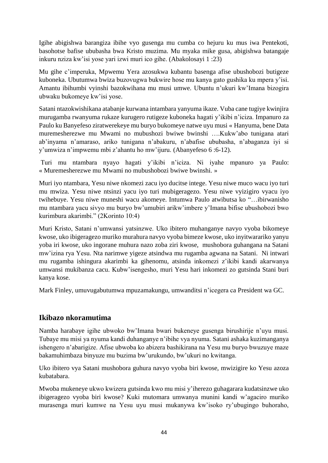Igihe abigishwa barangiza ibihe vyo gusenga mu cumba co hejuru ku mus iwa Pentekoti, basohotse bafise ububasha bwa Kristo muzima. Mu myaka mike gusa, abigishwa batangaje inkuru nziza kw'isi yose yari izwi muri ico gihe. (Abakolosayi 1 :23)

Mu gihe c'imperuka, Mpwemu Yera azosukwa kubantu basenga afise ubushobozi butigeze kuboneka. Ubutumwa bwiza buzovugwa bukwire hose mu kanya gato gushika ku mpera y'isi. Amantu ibihumbi vyinshi bazokwihana mu musi umwe. Ubuntu n'ukuri kw'Imana bizogira ubwaku bukomeye kw'isi yose.

Satani ntazokwishikana atabanje kurwana intambara yanyuma ikaze. Vuba cane tugiye kwinjira murugamba rwanyuma rukaze kurugero rutigeze kuboneka hagati y'ikibi n'iciza. Impanuro za Paulo ku Banyefeso ziratwerekeye mu buryo bukomeye natwe uyu musi « Hanyuma, bene Data muremesherezwe mu Mwami no mubushozi bwiwe bwinshi ….Kukw'abo tunigana atari ab'inyama n'amaraso, ariko tunigana n'abakuru, n'abafise ububasha, n'abaganza iyi si y'umwiza n'impwemu mbi z'ahantu ho mw'ijuru. (Abanyefeso 6 :6-12).

Turi mu ntambara nyayo hagati y'ikibi n'iciza. Ni iyahe mpanuro ya Paulo: « Muremesherezwe mu Mwami no mubushobozi bwiwe bwinshi. »

Muri iyo ntambara, Yesu niwe nkomezi zacu iyo ducitse intege. Yesu niwe muco wacu iyo turi mu mwiza. Yesu niwe ntsinzi yacu iyo turi mubigeragezo. Yesu niwe vyizigiro vyacu iyo twihebuye. Yesu niwe muneshi wacu akomeye. Intumwa Paulo atwibutsa ko "…ibirwanisho mu ntambara yacu sivyo mu buryo bw'umubiri arikw'imbere y'Imana bifise ubushobozi bwo kurimbura akarimbi." (2Korinto 10:4)

Muri Kristo, Satani n'umwansi yatsinzwe. Uko ibitero muhanganye navyo vyoba bikomeye kwose, uko ibigeragezo muriko murahura navyo vyoba bimeze kwose, uko inyitwarariko yanyu yoba iri kwose, uko ingorane muhura nazo zoba ziri kwose, mushobora guhangana na Satani mw'izina rya Yesu. Nta narimwe yigeze atsindwa mu rugamba agwana na Satani. Ni intwari mu rugamba ishingura akarimbi ka gihenomu, atsinda inkomezi z'ikibi kandi akarwanya umwansi mukibanza cacu. Kubw'isengesho, muri Yesu hari inkomezi zo gutsinda Stani buri kanya kose.

Mark Finley, umuvugabutumwa mpuzamakungu, umwanditsi n'icegera ca President wa GC.

# **Ikibazo nkoramutima**

Namba harabaye igihe ubwoko bw'Imana bwari bukeneye gusenga birushirije n'uyu musi. Tubaye mu misi ya nyuma kandi duhanganye n'ibihe vya nyuma. Satani ashaka kuzimanganya ishengero n'abarigize. Afise ubwoba ko abizera bashikirana na Yesu mu buryo bwuzuye maze bakamuhimbaza binyuze mu buzima bw'urukundo, bw'ukuri no kwitanga.

Uko ibitero vya Satani mushobora guhura navyo vyoba biri kwose, mwizigire ko Yesu azoza kubatabara.

Mwoba mukeneye ukwo kwizera gutsinda kwo mu misi y'iherezo guhagarara kudatsinzwe uko ibigeragezo vyoba biri kwose? Kuki mutomara umwanya munini kandi w'agaciro muriko murasenga muri kumwe na Yesu uyu musi mukanywa kw'isoko ry'ubugingo buhoraho,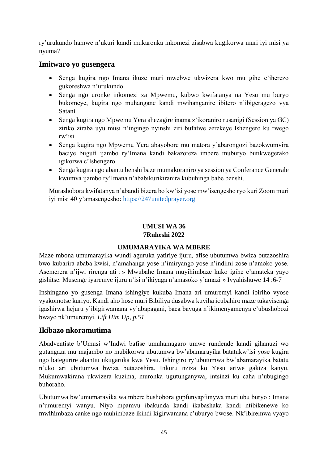ry'urukundo hamwe n'ukuri kandi mukaronka inkomezi zisabwa kugikorwa muri iyi misi ya nyuma?

### **Imitwaro yo gusengera**

- Senga kugira ngo Imana ikuze muri mwebwe ukwizera kwo mu gihe c'iherezo gukoreshwa n'urukundo.
- Senga ngo uronke inkomezi za Mpwemu, kubwo kwifatanya na Yesu mu buryo bukomeye, kugira ngo muhangane kandi mwihanganire ibitero n'ibigeragezo vya Satani.
- Senga kugira ngo Mpwemu Yera ahezagire inama z'ikoraniro rusanigi (Session ya GC) ziriko ziraba uyu musi n'ingingo nyinshi ziri bufatwe zerekeye Ishengero ku rwego rw'isi.
- Senga kugira ngo Mpwemu Yera abayobore mu matora y'abarongozi bazokwumvira baciye bugufi ijambo ry'Imana kandi bakazoteza imbere muburyo butikwegerako igikorwa c'Ishengero.
- Senga kugira ngo abantu benshi baze mumakoraniro ya session ya Conferance Generale kwumva ijambo ry'Imana n'ababikurikiranira kubuhinga babe benshi.

Murashobora kwifatanya n'abandi bizera bo kw'isi yose mw'isengesho ryo kuri Zoom muri iyi misi 40 y'amasengesho: [https://247unitedprayer.org](https://247unitedprayer.org/)

#### **UMUSI WA 36 7Ruheshi 2022**

### **UMUMARAYIKA WA MBERE**

<span id="page-48-1"></span><span id="page-48-0"></span>Maze mbona umumarayika wundi aguruka yatiriye ijuru, afise ubutumwa bwiza butazoshira bwo kubarira ababa kwisi, n'amahanga yose n'imiryango yose n'indimi zose n'amoko yose. Asemerera n'ijwi rirenga ati : » Mwubahe Imana muyihimbaze kuko igihe c'amateka yayo gishitse. Musenge iyaremye ijuru n'isi n'ikiyaga n'amasoko y'amazi » Ivyahishuwe 14 :6-7

Inshingano yo gusenga Imana ishingiye kukuba Imana ari umuremyi kandi ibiriho vyose vyakomotse kuriyo. Kandi aho hose muri Bibiliya dusabwa kuyiha icubahiro maze tukayisenga igashirwa hejuru y'ibigirwamana vy'abapagani, baca bavuga n'ikimenyamenya c'ubushobozi bwayo nk'umuremyi. *Lift Him Up, p.51*

### **Ikibazo nkoramutima**

Abadventiste b'Umusi w'Indwi bafise umuhamagaro umwe rundende kandi gihanuzi wo gutangaza mu majambo no mubikorwa ubutumwa bw'abamarayika batatukw'isi yose kugira ngo bategurire abantiu ukugaruka kwa Yesu. Ishingiro ry'ubutumwa bw'abamarayika batatu n'uko ari ubutumwa bwiza butazoshira. Inkuru nziza ko Yesu ariwe gakiza kanyu. Mukumwakirana ukwizera kuzima, muronka ugutunganywa, intsinzi ku caha n'ubugingo buhoraho.

Ubutumwa bw'umumarayika wa mbere bushobora gupfunyapfunywa muri ubu buryo : Imana n'umuremyi wanyu. Niyo mpamvu ibakunda kandi ikabashaka kandi ntibikenewe ko mwihimbaza canke ngo muhimbaze ikindi kigirwamana c'uburyo bwose. Nk'ibiremwa vyayo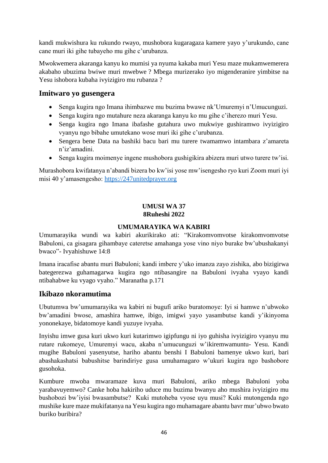kandi mukwishura ku rukundo rwayo, mushobora kugaragaza kamere yayo y'urukundo, cane cane muri iki gihe tubayeho mu gihe c'urubanza.

Mwokwemera akaranga kanyu ko mumisi ya nyuma kakaba muri Yesu maze mukamwemerera akabaho ubuzima bwiwe muri mwebwe ? Mbega murizerako iyo migenderanire yimbitse na Yesu ishobora kubaha ivyizigiro mu rubanza ?

### **Imitwaro yo gusengera**

- Senga kugira ngo Imana ihimbazwe mu buzima bwawe nk'Umuremyi n'Umucunguzi.
- Senga kugira ngo mutahure neza akaranga kanyu ko mu gihe c'iherezo muri Yesu.
- Senga kugira ngo Imana ibafashe gutahura uwo mukwiye gushiramwo ivyizigiro vyanyu ngo bibahe umutekano wose muri iki gihe c'urubanza.
- Sengera bene Data na bashiki bacu bari mu turere twamamwo intambara z'amareta n'iz'amadini.
- Senga kugira moimenye ingene mushobora gushigikira abizera muri utwo turere tw'isi.

Murashobora kwifatanya n'abandi bizera bo kw'isi yose mw'isengesho ryo kuri Zoom muri iyi misi 40 y'amasengesho: [https://247unitedprayer.org](https://247unitedprayer.org/)

#### **UMUSI WA 37 8Ruheshi 2022**

#### **UMUMARAYIKA WA KABIRI**

<span id="page-49-1"></span><span id="page-49-0"></span>Umumarayika wundi wa kabiri akurikirako ati: "Kirakomvomvotse kirakomvomvotse Babuloni, ca gisagara gihambaye cateretse amahanga yose vino niyo burake bw'ubushakanyi bwaco"- Ivyahishuwe 14:8

Imana iracafise abantu muri Babuloni; kandi imbere y'uko imanza zayo zishika, abo bizigirwa bategerezwa guhamagarwa kugira ngo ntibasangire na Babuloni ivyaha vyayo kandi ntibahabwe ku vyago vyaho." Maranatha p.171

# **Ikibazo nkoramutima**

Ubutumwa bw'umumarayika wa kabiri ni bugufi ariko buratomoye: Iyi si hamwe n'ubwoko bw'amadini bwose, amashira hamwe, ibigo, imigwi yayo yasambutse kandi y'ikinyoma yononekaye, bidatomoye kandi yuzuye ivyaha.

Inyishu imwe gusa kuri ukwo kuri kutarimwo igipfungu ni iyo guhisha ivyizigiro vyanyu mu rutare rukomeye, Umuremyi wacu, akaba n'umucunguzi w'ikiremwamuntu- Yesu. Kandi mugihe Babuloni yasenyutse, hariho abantu benshi I Babuloni bamenye ukwo kuri, bari abashakashatsi babushitse barindiriye gusa umuhamagaro w'ukuri kugira ngo bashobore gusohoka.

Kumbure mwoba mwaramaze kuva muri Babuloni, ariko mbega Babuloni yoba yarabavuyemwo? Canke hoba hakiriho uduce mu buzima bwanyu aho mushira ivyizigiro mu bushobozi bw'iyisi bwasambutse? Kuki mutoheba vyose uyu musi? Kuki mutongenda ngo mushike kure maze mukifatanya na Yesu kugira ngo muhamagare abantu bavr mur'ubwo bwato buriko buribira?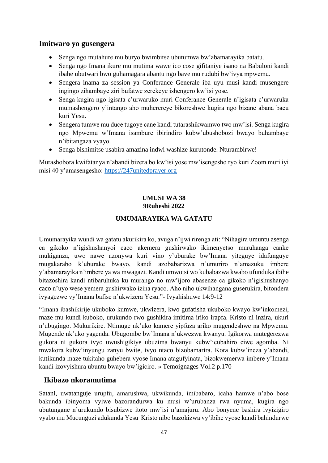### **Imitwaro yo gusengera**

- Senga ngo mutahure mu buryo bwimbitse ubutumwa bw'abamarayika batatu.
- Senga ngo Imana ikure mu mutima wawe ico cose gifitaniye isano na Babuloni kandi ibahe ubutwari bwo guhamagara abantu ngo bave mu rudubi bw'ivya mpwemu.
- Sengera inama za session ya Conferance Generale iba uyu musi kandi musengere ingingo zihambaye ziri bufatwe zerekeye ishengero kw'isi yose.
- Senga kugira ngo igisata c'urwaruko muri Conferance Generale n'igisata c'urwaruka mumashengero y'intango aho muherereye bikoreshwe kugira ngo bizane abana bacu kuri Yesu.
- Sengera tumwe mu duce tugoye cane kandi tutarashikwamwo two mw'isi. Senga kugira ngo Mpwemu w'Imana isambure ibirindiro kubw'ubushobozi bwayo buhambaye n'ibitangaza vyayo.
- Senga bishimitse usabira amazina indwi washize kurutonde. Nturambirwe!

<span id="page-50-0"></span>Murashobora kwifatanya n'abandi bizera bo kw'isi yose mw'isengesho ryo kuri Zoom muri iyi misi 40 y'amasengesho: [https://247unitedprayer.org](https://247unitedprayer.org/)

### **UMUSI WA 38 9Ruheshi 2022**

### **UMUMARAYIKA WA GATATU**

<span id="page-50-1"></span>Umumarayika wundi wa gatatu akurikira ko, avuga n'ijwi rirenga ati: "Nihagira umuntu asenga ca gikoko n'igishushanyoi caco akemera gushirwako ikimenyetso muruhanga canke mukiganza, uwo nawe azonywa kuri vino y'uburake bw'Imana yiteguye idafunguye mugakarabo k'uburake bwayo, kandi azobabarizwa n'umuriro n'amazuku imbere y'abamarayika n'imbere ya wa mwagazi. Kandi umwotsi wo kubabazwa kwabo ufunduka ibihe bitazoshira kandi ntibaruhuka ku murango no mw'ijoro abasenze ca gikoko n'igishushanyo caco n'uyo wese yemera gushirwako izina ryaco. Aho niho ukwihangana guserukira, bitondera ivyagezwe vy'Imana bafise n'ukwizera Yesu."- Ivyahishuwe 14:9-12

"Imana ibashikirije ukuboko kumwe, ukwizera, kwo gufatisha ukuboko kwayo kw'inkomezi, maze mu kundi kuboko, urukundo rwo gushikira imitima iriko irapfa. Kristo ni inzira, ukuri n'ubugingo. Mukurikire. Ntimuge nk'uko kamere yipfuza ariko mugendeshwe na Mpwemu. Mugende nk'uko yagenda. Ubugombe bw'Imana n'ukwezwa kwanyu. Igikorwa mutegerezwa gukora ni gukora ivyo uwushigikiye ubuzima bwanyu kubw'icubahiro ciwe agomba. Ni mwakora kubw'inyungu zanyu bwite, ivyo ntaco bizobamarira. Kora kubw'ineza y'abandi, kutikunda maze tukitaho guhebera vyose Imana atagufyinata, bizokwemerwa imbere y'Imana kandi izovyishura ubuntu bwayo bw'igiciro. » Temoignages Vol.2 p.170

### **Ikibazo nkoramutima**

Satani, uwatanguje urupfu, amarushwa, ukwikunda, imibabaro, icaha hamwe n'abo bose bakunda ibinyoma vyiwe bazorandurwa ku musi w'urubanza rwa nyuma, kugira ngo ubutungane n'urukundo bisubizwe itoto mw'isi n'amajuru. Abo bonyene bashira ivyizigiro vyabo mu Mucunguzi adukunda Yesu Kristo nibo bazokizwa vy'ibihe vyose kandi bahindurwe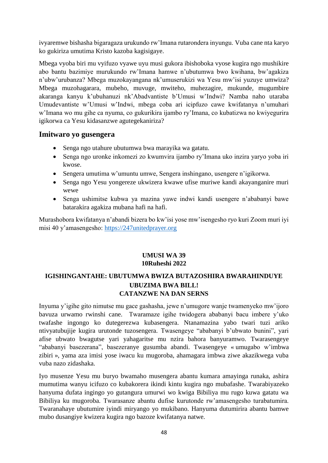ivyaremwe bishasha bigaragaza urukundo rw'Imana rutarondera inyungu. Vuba cane nta karyo ko gukiriza umutima Kristo kazoba kagisigaye.

Mbega vyoba biri mu vyifuzo vyawe uyu musi gukora ibishoboka vyose kugira ngo mushikire abo bantu bazimiye murukundo rw'Imana hamwe n'ubutumwa bwo kwihana, bw'agakiza n'ubw'urubanza? Mbega muzokayangana nk'umuserukizi wa Yesu mw'isi yuzuye umwiza? Mbega muzohagarara, mubeho, muvuge, mwiteho, muhezagire, mukunde, mugumbire akaranga kanyu k'ubuhanuzi nk'Abadvantiste b'Umusi w'Indwi? Namba naho utaraba Umudevantiste w'Umusi w'Indwi, mbega coba ari icipfuzo cawe kwifatanya n'umuhari w'Imana wo mu gihe ca nyuma, co gukurikira ijambo ry'Imana, co kubatizwa no kwiyegurira igikorwa ca Yesu kidasanzwe agutegekaniriza?

#### **Imitwaro yo gusengera**

- Senga ngo utahure ubutumwa bwa marayika wa gatatu.
- Senga ngo uronke inkomezi zo kwumvira ijambo ry'Imana uko inzira yaryo yoba iri kwose.
- Sengera umutima w'umuntu umwe, Sengera inshingano, usengere n'igikorwa.
- Senga ngo Yesu yongereze ukwizera kwawe ufise muriwe kandi akayanganire muri wewe
- Senga ushimitse kubwa ya mazina yawe indwi kandi usengere n'ababanyi bawe batarakira agakiza mubana hafi na hafi.

Murashobora kwifatanya n'abandi bizera bo kw'isi yose mw'isengesho ryo kuri Zoom muri iyi misi 40 y'amasengesho: [https://247unitedprayer.org](https://247unitedprayer.org/)

#### **UMUSI WA 39 10Ruheshi 2022**

### <span id="page-51-2"></span><span id="page-51-1"></span><span id="page-51-0"></span>**IGISHINGANTAHE: UBUTUMWA BWIZA BUTAZOSHIRA BWARAHINDUYE UBUZIMA BWA BILL! CATANZWE NA DAN SERNS**

Inyuma y'igihe gito nimutse mu gace gashasha, jewe n'umugore wanje twamenyeko mw'ijoro bavuza urwamo rwinshi cane. Twaramaze igihe twidogera ababanyi bacu imbere y'uko twafashe ingongo ko dutegerezwa kubasengera. Ntanamazina yabo twari tuzi ariko ntivyatubujije kugira urutonde tuzosengera. Twasengeye "ababanyi b'ubwato bunini", yari afise ubwato bwagutse yari yahagaritse mu nzira bahora banyuramwo. Twarasengeye "ababanyi basezerana", basezeranye gusumba abandi. Twasengeye « umugabo w'imbwa zibiri », yama aza imisi yose iwacu ku mugoroba, ahamagara imbwa ziwe akazikwega vuba vuba nazo zidashaka.

Iyo musenze Yesu mu buryo bwamaho musengera abantu kumara amayinga runaka, ashira mumutima wanyu icifuzo co kubakorera ikindi kintu kugira ngo mubafashe. Twarabiyazeko hanyuma dufata ingingo yo gutangura umurwi wo kwiga Bibiliya mu rugo kuwa gatatu wa Bibiliya ku mugoroba. Twarasanze abantu dufise kurutonde rw'amasengesho turabatumira. Twaranahaye ubutumire iyindi miryango yo mukibano. Hanyuma dutumirira abantu bamwe mubo dusangiye kwizera kugira ngo bazoze kwifatanya natwe.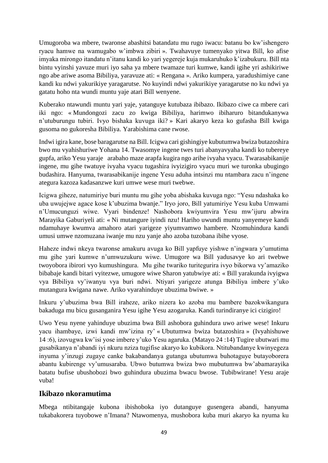Umugoroba wa mbere, twaronse abashitsi batandatu mu rugo iwacu: batanu bo kw'ishengero ryacu hamwe na wamugabo w'imbwa zibiri ». Twahavuye tumenyako yitwa Bill, ko afise imyaka mirongo itandatu n'itanu kandi ko yari yegereje kuja mukaruhuko k'izabukuru. Bill nta bintu vyinshi yavuze muri iyo saha ya mbere twamaze turi kumwe, kandi igihe yri ashikiriwe ngo abe ariwe asoma Bibiliya, yaravuze ati: « Rengana ». Ariko kumpera, yaradushimiye cane kandi ku ndwi yakurikiye yaragarutse. No kuyindi ndwi yakurikiye yaragarutse no ku ndwi ya gatatu hoho nta wundi muntu yaje atari Bill wenyene.

Kuberako ntawundi muntu yari yaje, yatanguye kutubaza ibibazo. Ikibazo ciwe ca mbere cari iki ngo: « Mundongozi zacu zo kwiga Bibiliya, harimwo ibiharuro bitandukanywa n'utuburungu tubiri. Ivyo bishaka kuvuga iki? » Kari akaryo keza ko gufasha Bill kwiga gusoma no gukoresha Bibiliya. Yarabishima cane rwose.

Indwi igira kane, bose baragarutse na Bill. Icigwa cari gishingiye kubutumwa bwiza butazoshira bwo mu vyahishuriwe Yohana 14. Twasomye ingene twes turi abanyavyaha kandi ko tubereye gupfa, ariko Yesu yaraje arabaho maze arapfa kugira ngo arihe ivyaha vyacu. Twarasabikanije ingene, mu gihe twatuye ivyaha vyacu tugashira ivyizigiro vyacu muri we turonka ubugingo budashira. Hanyuma, twarasabikanije ingene Yesu aduha intsinzi mu ntambara zacu n'ingene ategura kazoza kadasanzwe kuri umwe wese muri twebwe.

Icigwa giheze, natumiriye buri muntu mu gihe yoba abishaka kuvuga ngo: "Yesu ndashaka ko uba uwujejwe agace kose k'ubuzima bwanje." Iryo joro, Bill yatumiriye Yesu kuba Umwami n'Umucunguzi wiwe. Vyari bindenze! Nashobora kwiyumvira Yesu mw'ijuru abwira Marayika Gaburiyeli ati: « Ni mutangure iyindi nzu! Hariho uwundi muntu yanyemeye kandi ndamuhaye kwumva amahoro atari yarigeze yiyumvamwo hambere. Nzomuhindura kandi umusi umwe nzomuzana iwanje mu nzu yanje aho azoba tuzobana ibihe vyose.

Haheze indwi nkeya twaronse amakuru avuga ko Bill yapfuye yishwe n'ingwara y'umutima mu gihe yari kumwe n'umwuzukuru wiwe. Umugore wa Bill yadusavye ko ari twebwe twoyobora ibirori vyo kumushingura. Mu gihe twariko turitegurira ivyo bikorwa vy'amaziko bibabaje kandi bitari vyitezwe, umugore wiwe Sharon yatubwiye ati: « Bill yarakunda ivyigwa vya Bibiliya vy'iwanyu vya buri ndwi. Ntiyari yarigeze atunga Bibiliya imbere y'uko mutangura kwigana nawe. Ariko vyarahinduye ubuzima bwiwe. »

Inkuru y'ubuzima bwa Bill iraheze, ariko nizera ko azoba mu bambere bazokwikangura bakaduga mu bicu gusanganira Yesu igihe Yesu azogaruka. Kandi turindiranye ici cizigiro!

Uwo Yesu nyene yahinduye ubuzima bwa Bill ashobora guhindura uwo ariwe wese! Inkuru yacu ihambaye, izwi kandi mw'izina ry' « Ubutumwa bwiza butazoshira » (Ivyahishuwe 14 :6), izovugwa kw'isi yose imbere y'uko Yesu agaruka. (Matayo 24 :14) Tugire ubutwari mu gusabikanya n'abandi iyi nkuru nziza tugifise akaryo ko kubikora. Ntitubandanye kwinyegeza inyuma y'inzugi zugaye canke bakabandanya gutanga ubutumwa buhotaguye butayoborera abantu kubirenge vy'umusaraba. Ubwo butumwa bwiza bwo mubutumwa bw'abamarayika batatu bufise ubushobozi bwo guhindura ubuzima bwacu bwose. Tubibwirane! Yesu araje vuba!

# **Ikibazo nkoramutima**

Mbega ntibitangaje kubona ibishoboka iyo dutanguye gusengera abandi, hanyuma tukabakorera tuyobowe n'Imana? Ntawomenya, mushobora kuba muri akaryo ka nyuma ku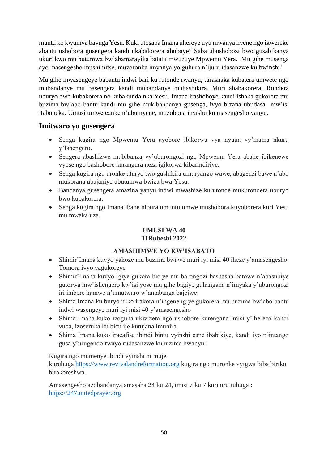muntu ko kwumva bavuga Yesu. Kuki utosaba Imana uhereye uyu mwanya nyene ngo ikwereke abantu ushobora gusengera kandi ukabakorera ahubaye? Saba ubushobozi bwo gusabikanya ukuri kwo mu butumwa bw'abamarayika batatu mwuzuye Mpwemu Yera. Mu gihe musenga ayo masengesho mushimitse, muzoronka imyanya yo guhura n'ijuru idasanzwe ku bwinshi!

Mu gihe mwasengeye babantu indwi bari ku rutonde rwanyu, turashaka kubatera umwete ngo mubandanye mu basengera kandi mubandanye mubashikira. Muri ababakorera. Rondera uburyo bwo kubakorera no kubakunda nka Yesu. Imana irashoboye kandi ishaka gukorera mu buzima bw'abo bantu kandi mu gihe mukibandanya gusenga, ivyo bizana ubudasa mw'isi itaboneka. Umusi umwe canke n'ubu nyene, muzobona inyishu ku masengesho yanyu.

### **Imitwaro yo gusengera**

- Senga kugira ngo Mpwemu Yera ayobore ibikorwa vya nyuùa vy'inama nkuru y'Ishengero.
- Sengera abashizwe mubibanza vy'uburongozi ngo Mpwemu Yera abahe ibikenewe vyose ngo bashobore kurangura neza igikorwa kibarindiriye.
- Senga kugira ngo uronke uturyo two gushikira umuryango wawe, abagenzi bawe n'abo mukorana ubajaniye ubutumwa bwiza bwa Yesu.
- Bandanya gusengera amazina yanyu indwi mwashize kurutonde mukurondera uburyo bwo kubakorera.
- <span id="page-53-0"></span> Senga kugira ngo Imana ibahe nibura umuntu umwe mushobora kuyoborera kuri Yesu mu mwaka uza.

# **UMUSI WA 40**

# **11Ruheshi 2022**

### **AMASHIMWE YO KW'ISABATO**

- <span id="page-53-1"></span> Shimir'Imana kuvyo yakoze mu buzima bwawe muri iyi misi 40 iheze y'amasengesho. Tomora ivyo yagukoreye
- Shimir'Imana kuvyo igiye gukora biciye mu barongozi bashasha batowe n'abasubiye gutorwa mw'ishengero kw'isi yose mu gihe bagiye guhangana n'imyaka y'uburongozi iri imbere hamwe n'umutwaro w'amabanga bajejwe
- Shima Imana ku buryo iriko irakora n'ingene igiye gukorera mu buzima bw'abo bantu indwi wasengeye muri iyi misi 40 y'amasengesho
- Shima Imana kuko izoguha ukwizera ngo ushobore kurengana imisi y'iherezo kandi vuba, izoseruka ku bicu ije kutujana imuhira.
- Shima Imana kuko iracafise ibindi bintu vyinshi cane ibabikiye, kandi iyo n'intango gusa y'urugendo rwayo rudasanzwe kubuzima bwanyu !

Kugira ngo mumenye ibindi vyinshi ni muje

kurubuga [https://www.revivalandreformation.org](https://www.revivalandreformation.org/) kugira ngo muronke vyigwa biba biriko birakoreshwa.

Amasengesho azobandanya amasaha 24 ku 24, imisi 7 ku 7 kuri uru rubuga : [https://247unitedprayer.org](https://247unitedprayer.org/)